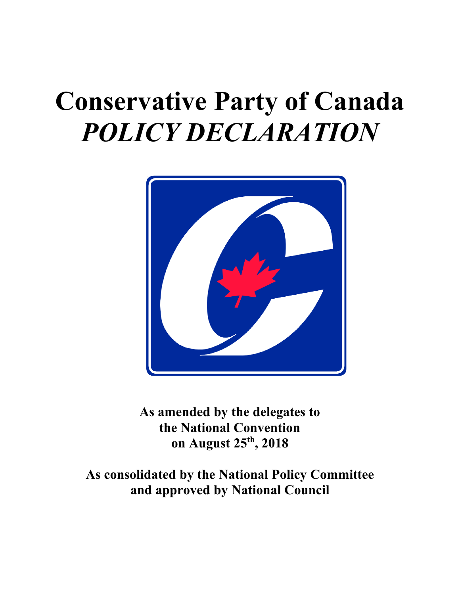# **Conservative Party of Canada** *POLICY DECLARATION*



**As amended by the delegates to the National Convention on August 25th, 2018**

**As consolidated by the National Policy Committee and approved by National Council**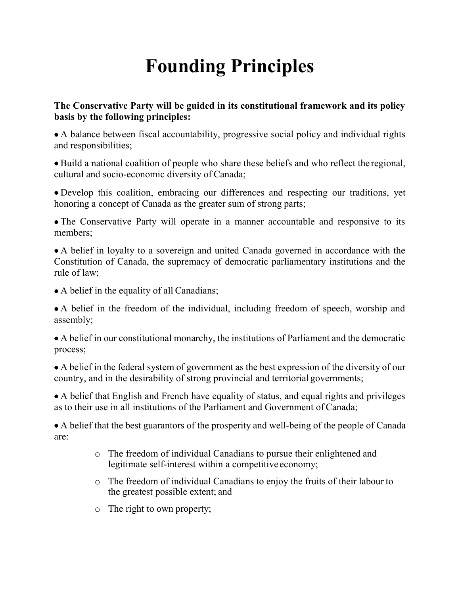## **Founding Principles**

#### **The Conservative Party will be guided in its constitutional framework and its policy basis by the following principles:**

• A balance between fiscal accountability, progressive social policy and individual rights and responsibilities;

• Build a national coalition of people who share these beliefs and who reflect the regional, cultural and socio-economic diversity of Canada;

• Develop this coalition, embracing our differences and respecting our traditions, yet honoring a concept of Canada as the greater sum of strong parts;

• The Conservative Party will operate in a manner accountable and responsive to its members;

• A belief in loyalty to a sovereign and united Canada governed in accordance with the Constitution of Canada, the supremacy of democratic parliamentary institutions and the rule of law;

• A belief in the equality of all Canadians;

• A belief in the freedom of the individual, including freedom of speech, worship and assembly;

• A belief in our constitutional monarchy, the institutions of Parliament and the democratic process;

• A belief in the federal system of government as the best expression of the diversity of our country, and in the desirability of strong provincial and territorial governments;

• A belief that English and French have equality of status, and equal rights and privileges as to their use in all institutions of the Parliament and Government of Canada;

• A belief that the best guarantors of the prosperity and well-being of the people of Canada are:

- o The freedom of individual Canadians to pursue their enlightened and legitimate self-interest within a competitive economy;
- o The freedom of individual Canadians to enjoy the fruits of their labour to the greatest possible extent; and
- o The right to own property;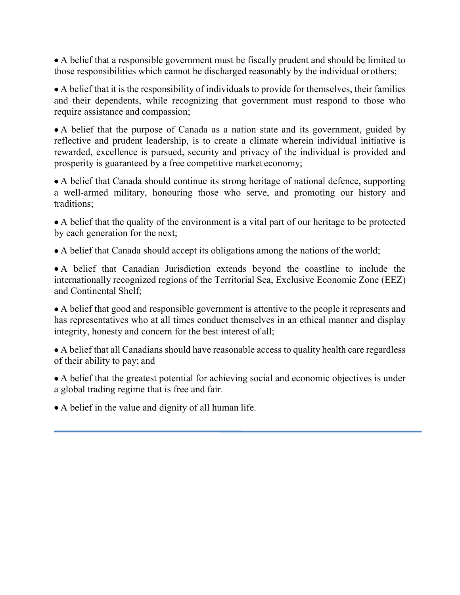• A belief that a responsible government must be fiscally prudent and should be limited to those responsibilities which cannot be discharged reasonably by the individual orothers;

• A belief that it is the responsibility of individuals to provide for themselves, their families and their dependents, while recognizing that government must respond to those who require assistance and compassion;

• A belief that the purpose of Canada as a nation state and its government, guided by reflective and prudent leadership, is to create a climate wherein individual initiative is rewarded, excellence is pursued, security and privacy of the individual is provided and prosperity is guaranteed by a free competitive market economy;

• A belief that Canada should continue its strong heritage of national defence, supporting a well-armed military, honouring those who serve, and promoting our history and traditions;

• A belief that the quality of the environment is a vital part of our heritage to be protected by each generation for the next;

• A belief that Canada should accept its obligations among the nations of the world;

• A belief that Canadian Jurisdiction extends beyond the coastline to include the internationally recognized regions of the Territorial Sea, Exclusive Economic Zone (EEZ) and Continental Shelf;

• A belief that good and responsible government is attentive to the people it represents and has representatives who at all times conduct themselves in an ethical manner and display integrity, honesty and concern for the best interest of all;

• A belief that all Canadians should have reasonable access to quality health care regardless of their ability to pay; and

• A belief that the greatest potential for achieving social and economic objectives is under a global trading regime that is free and fair.

• A belief in the value and dignity of all human life.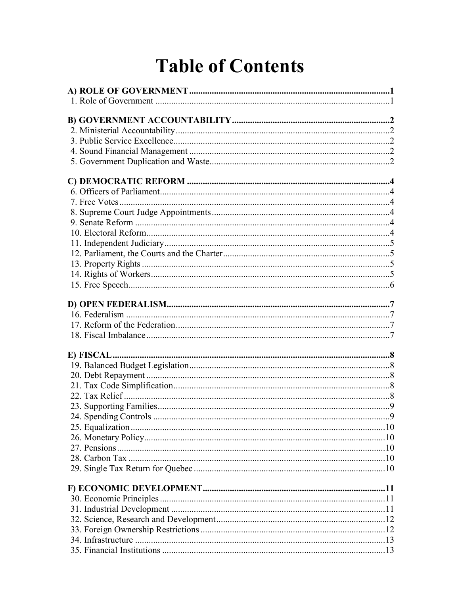## **Table of Contents**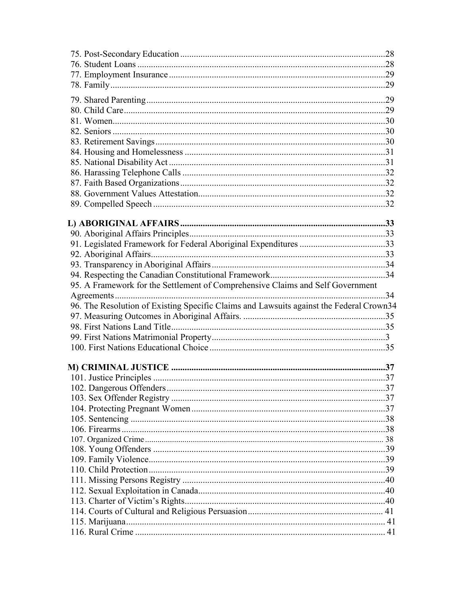| 95. A Framework for the Settlement of Comprehensive Claims and Self Government          |  |
|-----------------------------------------------------------------------------------------|--|
|                                                                                         |  |
| 96. The Resolution of Existing Specific Claims and Lawsuits against the Federal Crown34 |  |
|                                                                                         |  |
|                                                                                         |  |
|                                                                                         |  |
|                                                                                         |  |
|                                                                                         |  |
|                                                                                         |  |
|                                                                                         |  |
|                                                                                         |  |
|                                                                                         |  |
|                                                                                         |  |
|                                                                                         |  |
|                                                                                         |  |
|                                                                                         |  |
|                                                                                         |  |
|                                                                                         |  |
|                                                                                         |  |
|                                                                                         |  |
|                                                                                         |  |
|                                                                                         |  |
|                                                                                         |  |
|                                                                                         |  |
|                                                                                         |  |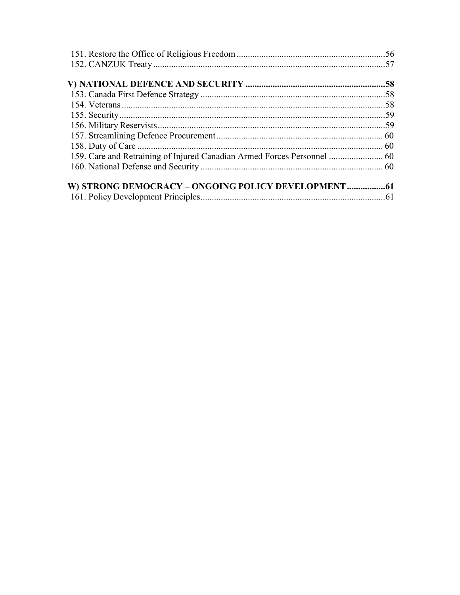| 159. Care and Retraining of Injured Canadian Armed Forces Personnel  60 |  |
|-------------------------------------------------------------------------|--|
|                                                                         |  |
|                                                                         |  |
|                                                                         |  |
|                                                                         |  |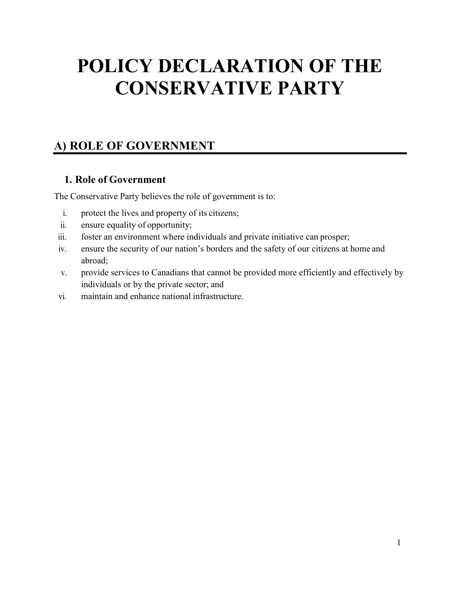## **POLICY DECLARATION OF THE CONSERVATIVE PARTY**

## <span id="page-8-0"></span>**A) ROLE OF GOVERNMENT**

#### **1. Role of Government**

<span id="page-8-1"></span>The Conservative Party believes the role of government is to:

- i. protect the lives and property of its citizens;
- ii. ensure equality of opportunity;
- iii. foster an environment where individuals and private initiative can prosper;
- iv. ensure the security of our nation's borders and the safety of our citizens at home and abroad;
- v. provide services to Canadians that cannot be provided more efficiently and effectively by individuals or by the private sector; and
- vi. maintain and enhance national infrastructure.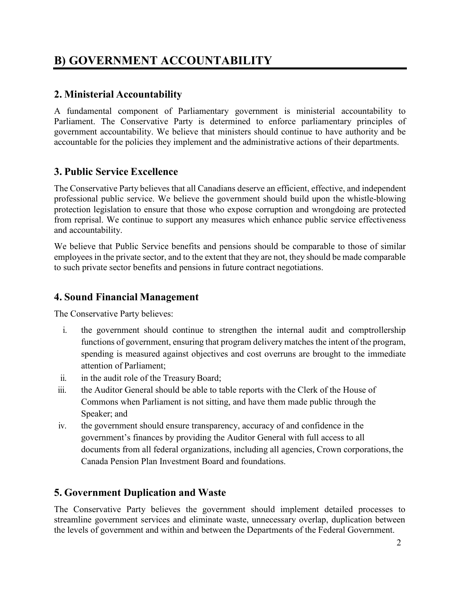## <span id="page-9-0"></span>**B) GOVERNMENT ACCOUNTABILITY**

#### <span id="page-9-1"></span>**2. Ministerial Accountability**

A fundamental component of Parliamentary government is ministerial accountability to Parliament. The Conservative Party is determined to enforce parliamentary principles of government accountability. We believe that ministers should continue to have authority and be accountable for the policies they implement and the administrative actions of their departments.

#### <span id="page-9-2"></span>**3. Public Service Excellence**

The Conservative Party believes that all Canadians deserve an efficient, effective, and independent professional public service. We believe the government should build upon the whistle-blowing protection legislation to ensure that those who expose corruption and wrongdoing are protected from reprisal. We continue to support any measures which enhance public service effectiveness and accountability.

We believe that Public Service benefits and pensions should be comparable to those of similar employees in the private sector, and to the extent that they are not, they should be made comparable to such private sector benefits and pensions in future contract negotiations.

#### <span id="page-9-3"></span>**4. Sound Financial Management**

The Conservative Party believes:

- i. the government should continue to strengthen the internal audit and comptrollership functions of government, ensuring that program delivery matches the intent of the program, spending is measured against objectives and cost overruns are brought to the immediate attention of Parliament;
- ii. in the audit role of the Treasury Board;
- iii. the Auditor General should be able to table reports with the Clerk of the House of Commons when Parliament is not sitting, and have them made public through the Speaker; and
- iv. the government should ensure transparency, accuracy of and confidence in the government's finances by providing the Auditor General with full access to all documents from all federal organizations, including all agencies, Crown corporations, the Canada Pension Plan Investment Board and foundations.

#### <span id="page-9-4"></span>**5. Government Duplication and Waste**

The Conservative Party believes the government should implement detailed processes to streamline government services and eliminate waste, unnecessary overlap, duplication between the levels of government and within and between the Departments of the Federal Government.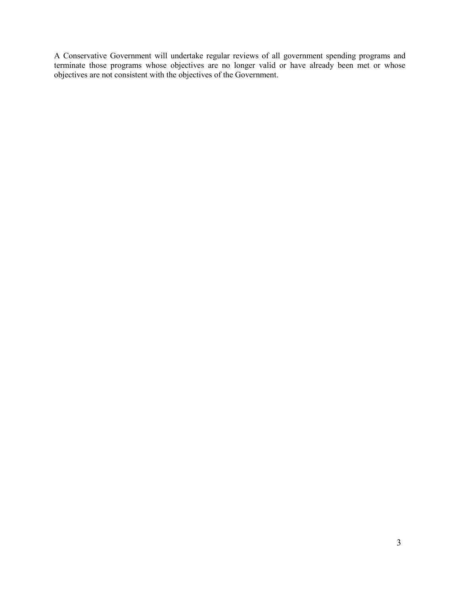A Conservative Government will undertake regular reviews of all government spending programs and terminate those programs whose objectives are no longer valid or have already been met or whose objectives are not consistent with the objectives of the Government.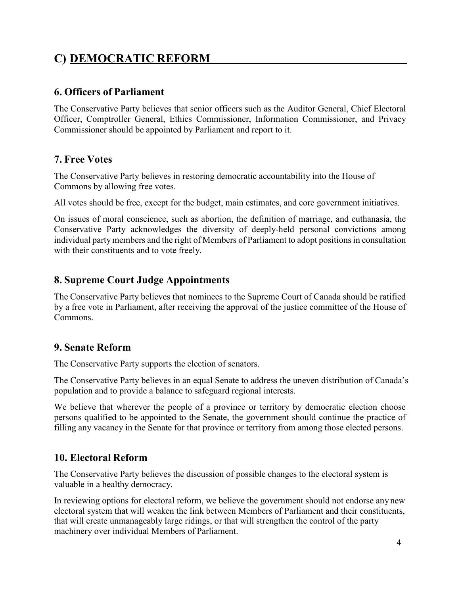## <span id="page-11-0"></span>**C) DEMOCRATIC REFORM**

#### <span id="page-11-1"></span>**6. Officers of Parliament**

The Conservative Party believes that senior officers such as the Auditor General, Chief Electoral Officer, Comptroller General, Ethics Commissioner, Information Commissioner, and Privacy Commissioner should be appointed by Parliament and report to it.

#### <span id="page-11-2"></span>**7. Free Votes**

The Conservative Party believes in restoring democratic accountability into the House of Commons by allowing free votes.

All votes should be free, except for the budget, main estimates, and core government initiatives.

On issues of moral conscience, such as abortion, the definition of marriage, and euthanasia, the Conservative Party acknowledges the diversity of deeply-held personal convictions among individual party members and the right of Members of Parliament to adopt positions in consultation with their constituents and to vote freely.

#### <span id="page-11-3"></span>**8. Supreme Court Judge Appointments**

The Conservative Party believes that nominees to the Supreme Court of Canada should be ratified by a free vote in Parliament, after receiving the approval of the justice committee of the House of Commons.

#### <span id="page-11-4"></span>**9. Senate Reform**

The Conservative Party supports the election of senators.

The Conservative Party believes in an equal Senate to address the uneven distribution of Canada's population and to provide a balance to safeguard regional interests.

We believe that wherever the people of a province or territory by democratic election choose persons qualified to be appointed to the Senate, the government should continue the practice of filling any vacancy in the Senate for that province or territory from among those elected persons.

#### <span id="page-11-5"></span>**10. Electoral Reform**

The Conservative Party believes the discussion of possible changes to the electoral system is valuable in a healthy democracy.

In reviewing options for electoral reform, we believe the government should not endorse any new electoral system that will weaken the link between Members of Parliament and their constituents, that will create unmanageably large ridings, or that will strengthen the control of the party machinery over individual Members of Parliament.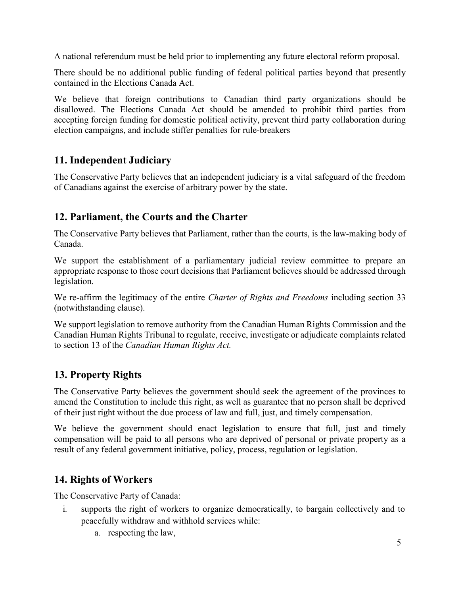A national referendum must be held prior to implementing any future electoral reform proposal.

There should be no additional public funding of federal political parties beyond that presently contained in the Elections Canada Act.

We believe that foreign contributions to Canadian third party organizations should be disallowed. The Elections Canada Act should be amended to prohibit third parties from accepting foreign funding for domestic political activity, prevent third party collaboration during election campaigns, and include stiffer penalties for rule-breakers

#### <span id="page-12-0"></span>**11. Independent Judiciary**

The Conservative Party believes that an independent judiciary is a vital safeguard of the freedom of Canadians against the exercise of arbitrary power by the state.

#### <span id="page-12-1"></span>**12. Parliament, the Courts and the Charter**

The Conservative Party believes that Parliament, rather than the courts, is the law-making body of Canada.

We support the establishment of a parliamentary judicial review committee to prepare an appropriate response to those court decisions that Parliament believes should be addressed through legislation.

We re-affirm the legitimacy of the entire *Charter of Rights and Freedoms* including section 33 (notwithstanding clause).

We support legislation to remove authority from the Canadian Human Rights Commission and the Canadian Human Rights Tribunal to regulate, receive, investigate or adjudicate complaints related to section 13 of the *Canadian Human Rights Act.*

#### <span id="page-12-2"></span>**13. Property Rights**

The Conservative Party believes the government should seek the agreement of the provinces to amend the Constitution to include this right, as well as guarantee that no person shall be deprived of their just right without the due process of law and full, just, and timely compensation.

We believe the government should enact legislation to ensure that full, just and timely compensation will be paid to all persons who are deprived of personal or private property as a result of any federal government initiative, policy, process, regulation or legislation.

#### <span id="page-12-3"></span>**14. Rights of Workers**

The Conservative Party of Canada:

- i. supports the right of workers to organize democratically, to bargain collectively and to peacefully withdraw and withhold services while:
	- a. respecting the law,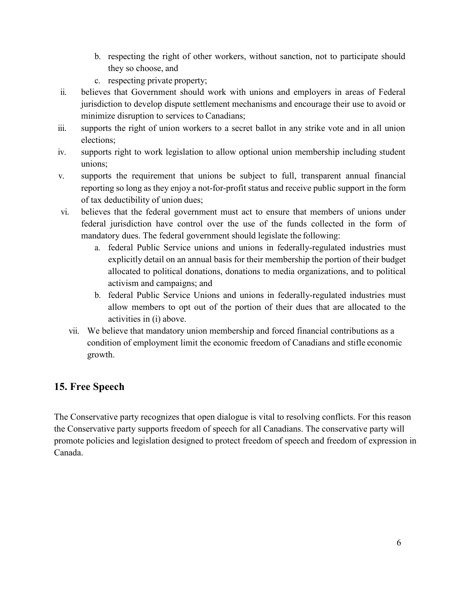- b. respecting the right of other workers, without sanction, not to participate should they so choose, and
- c. respecting private property;
- ii. believes that Government should work with unions and employers in areas of Federal jurisdiction to develop dispute settlement mechanisms and encourage their use to avoid or minimize disruption to services to Canadians;
- iii. supports the right of union workers to a secret ballot in any strike vote and in all union elections;
- iv. supports right to work legislation to allow optional union membership including student unions;
- v. supports the requirement that unions be subject to full, transparent annual financial reporting so long as they enjoy a not-for-profit status and receive public support in the form of tax deductibility of union dues;
- vi. believes that the federal government must act to ensure that members of unions under federal jurisdiction have control over the use of the funds collected in the form of mandatory dues. The federal government should legislate the following:
	- a. federal Public Service unions and unions in federally-regulated industries must explicitly detail on an annual basis for their membership the portion of their budget allocated to political donations, donations to media organizations, and to political activism and campaigns; and
	- b. federal Public Service Unions and unions in federally-regulated industries must allow members to opt out of the portion of their dues that are allocated to the activities in (i) above.
	- vii. We believe that mandatory union membership and forced financial contributions as a condition of employment limit the economic freedom of Canadians and stifle economic growth.

#### **15. Free Speech**

The Conservative party recognizes that open dialogue is vital to resolving conflicts. For this reason the Conservative party supports freedom of speech for all Canadians. The conservative party will promote policies and legislation designed to protect freedom of speech and freedom of expression in Canada.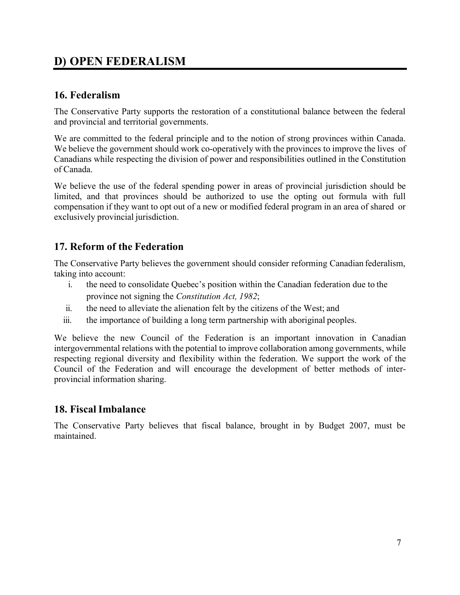## <span id="page-14-0"></span>**D) OPEN FEDERALISM**

#### <span id="page-14-1"></span>**16. Federalism**

The Conservative Party supports the restoration of a constitutional balance between the federal and provincial and territorial governments.

We are committed to the federal principle and to the notion of strong provinces within Canada. We believe the government should work co-operatively with the provinces to improve the lives of Canadians while respecting the division of power and responsibilities outlined in the Constitution of Canada.

We believe the use of the federal spending power in areas of provincial jurisdiction should be limited, and that provinces should be authorized to use the opting out formula with full compensation if they want to opt out of a new or modified federal program in an area of shared or exclusively provincial jurisdiction.

#### <span id="page-14-2"></span>**17. Reform of the Federation**

The Conservative Party believes the government should consider reforming Canadian federalism, taking into account:

- i. the need to consolidate Quebec's position within the Canadian federation due to the province not signing the *Constitution Act, 1982*;
- ii. the need to alleviate the alienation felt by the citizens of the West; and
- iii. the importance of building a long term partnership with aboriginal peoples.

We believe the new Council of the Federation is an important innovation in Canadian intergovernmental relations with the potential to improve collaboration among governments, while respecting regional diversity and flexibility within the federation. We support the work of the Council of the Federation and will encourage the development of better methods of interprovincial information sharing.

#### <span id="page-14-3"></span>**18. Fiscal Imbalance**

The Conservative Party believes that fiscal balance, brought in by Budget 2007, must be maintained.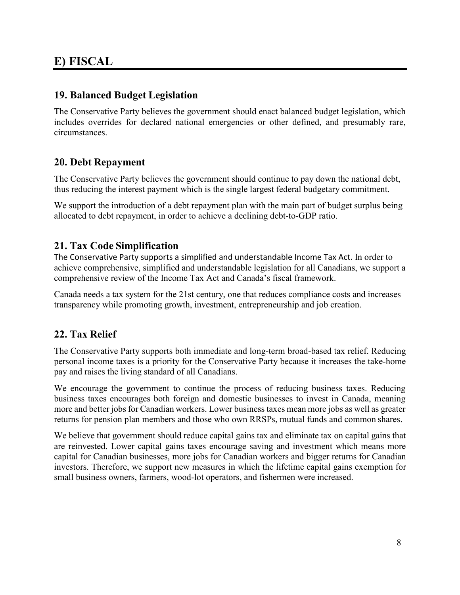### <span id="page-15-0"></span>**E) FISCAL**

#### <span id="page-15-1"></span>**19. Balanced Budget Legislation**

The Conservative Party believes the government should enact balanced budget legislation, which includes overrides for declared national emergencies or other defined, and presumably rare, circumstances.

#### <span id="page-15-2"></span>**20. Debt Repayment**

The Conservative Party believes the government should continue to pay down the national debt, thus reducing the interest payment which is the single largest federal budgetary commitment.

We support the introduction of a debt repayment plan with the main part of budget surplus being allocated to debt repayment, in order to achieve a declining debt-to-GDP ratio.

#### <span id="page-15-3"></span>**21. Tax Code Simplification**

The Conservative Party supports a simplified and understandable Income Tax Act. In order to achieve comprehensive, simplified and understandable legislation for all Canadians, we support a comprehensive review of the Income Tax Act and Canada's fiscal framework.

Canada needs a tax system for the 21st century, one that reduces compliance costs and increases transparency while promoting growth, investment, entrepreneurship and job creation.

#### <span id="page-15-4"></span>**22. Tax Relief**

The Conservative Party supports both immediate and long-term broad-based tax relief. Reducing personal income taxes is a priority for the Conservative Party because it increases the take-home pay and raises the living standard of all Canadians.

We encourage the government to continue the process of reducing business taxes. Reducing business taxes encourages both foreign and domestic businesses to invest in Canada, meaning more and better jobs for Canadian workers. Lower business taxes mean more jobs as well as greater returns for pension plan members and those who own RRSPs, mutual funds and common shares.

We believe that government should reduce capital gains tax and eliminate tax on capital gains that are reinvested. Lower capital gains taxes encourage saving and investment which means more capital for Canadian businesses, more jobs for Canadian workers and bigger returns for Canadian investors. Therefore, we support new measures in which the lifetime capital gains exemption for small business owners, farmers, wood-lot operators, and fishermen were increased.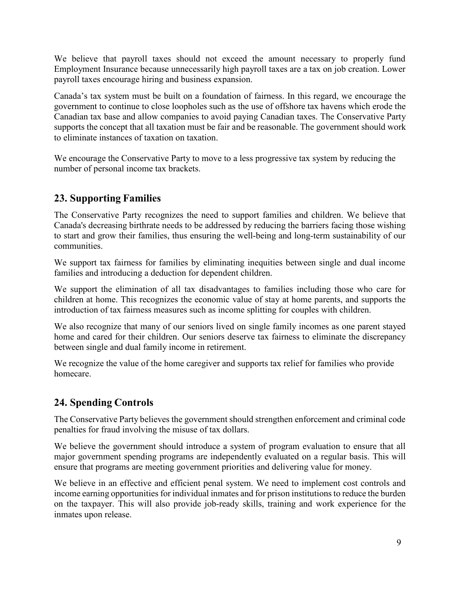We believe that payroll taxes should not exceed the amount necessary to properly fund Employment Insurance because unnecessarily high payroll taxes are a tax on job creation. Lower payroll taxes encourage hiring and business expansion.

Canada's tax system must be built on a foundation of fairness. In this regard, we encourage the government to continue to close loopholes such as the use of offshore tax havens which erode the Canadian tax base and allow companies to avoid paying Canadian taxes. The Conservative Party supports the concept that all taxation must be fair and be reasonable. The government should work to eliminate instances of taxation on taxation.

We encourage the Conservative Party to move to a less progressive tax system by reducing the number of personal income tax brackets.

#### <span id="page-16-0"></span>**23. Supporting Families**

The Conservative Party recognizes the need to support families and children. We believe that Canada's decreasing birthrate needs to be addressed by reducing the barriers facing those wishing to start and grow their families, thus ensuring the well-being and long-term sustainability of our communities.

We support tax fairness for families by eliminating inequities between single and dual income families and introducing a deduction for dependent children.

We support the elimination of all tax disadvantages to families including those who care for children at home. This recognizes the economic value of stay at home parents, and supports the introduction of tax fairness measures such as income splitting for couples with children.

We also recognize that many of our seniors lived on single family incomes as one parent stayed home and cared for their children. Our seniors deserve tax fairness to eliminate the discrepancy between single and dual family income in retirement.

We recognize the value of the home caregiver and supports tax relief for families who provide homecare.

#### <span id="page-16-1"></span>**24. Spending Controls**

The Conservative Party believes the government should strengthen enforcement and criminal code penalties for fraud involving the misuse of tax dollars.

We believe the government should introduce a system of program evaluation to ensure that all major government spending programs are independently evaluated on a regular basis. This will ensure that programs are meeting government priorities and delivering value for money.

We believe in an effective and efficient penal system. We need to implement cost controls and income earning opportunities for individual inmates and for prison institutions to reduce the burden on the taxpayer. This will also provide job-ready skills, training and work experience for the inmates upon release.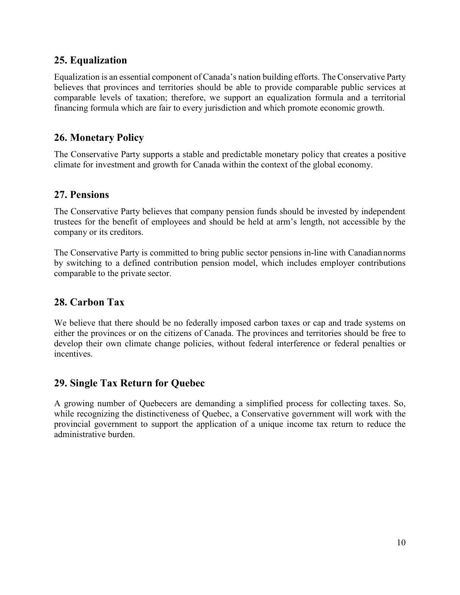#### <span id="page-17-0"></span>**25. Equalization**

Equalization is an essential component of Canada's nation building efforts. The Conservative Party believes that provinces and territories should be able to provide comparable public services at comparable levels of taxation; therefore, we support an equalization formula and a territorial financing formula which are fair to every jurisdiction and which promote economic growth.

#### <span id="page-17-1"></span>**26. Monetary Policy**

The Conservative Party supports a stable and predictable monetary policy that creates a positive climate for investment and growth for Canada within the context of the global economy.

#### <span id="page-17-2"></span>**27. Pensions**

The Conservative Party believes that company pension funds should be invested by independent trustees for the benefit of employees and should be held at arm's length, not accessible by the company or its creditors.

The Conservative Party is committed to bring public sector pensions in-line with Canadiannorms by switching to a defined contribution pension model, which includes employer contributions comparable to the private sector.

#### **28. Carbon Tax**

We believe that there should be no federally imposed carbon taxes or cap and trade systems on either the provinces or on the citizens of Canada. The provinces and territories should be free to develop their own climate change policies, without federal interference or federal penalties or incentives.

#### **29. Single Tax Return for Quebec**

A growing number of Quebecers are demanding a simplified process for collecting taxes. So, while recognizing the distinctiveness of Quebec, a Conservative government will work with the provincial government to support the application of a unique income tax return to reduce the administrative burden.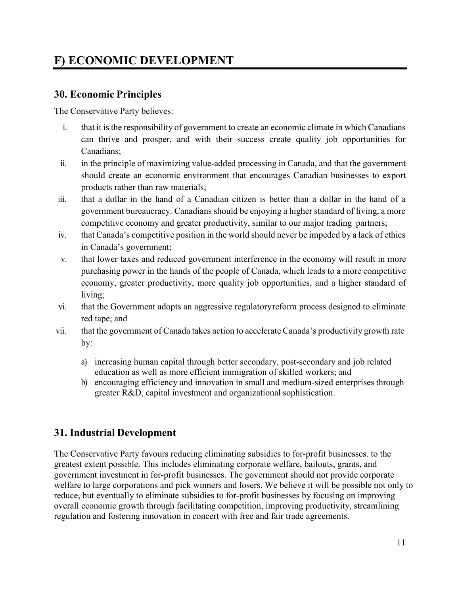## <span id="page-18-0"></span>**F) ECONOMIC DEVELOPMENT**

#### <span id="page-18-1"></span>**30. Economic Principles**

The Conservative Party believes:

- i. that it is the responsibility of government to create an economic climate in which Canadians can thrive and prosper, and with their success create quality job opportunities for Canadians;
- ii. in the principle of maximizing value-added processing in Canada, and that the government should create an economic environment that encourages Canadian businesses to export products rather than raw materials;
- iii. that a dollar in the hand of a Canadian citizen is better than a dollar in the hand of a government bureaucracy. Canadians should be enjoying a higher standard of living, a more competitive economy and greater productivity, similar to our major trading partners;
- iv. that Canada's competitive position in the world should never be impeded by a lack of ethics in Canada's government;
- v. that lower taxes and reduced government interference in the economy will result in more purchasing power in the hands of the people of Canada, which leads to a more competitive economy, greater productivity, more quality job opportunities, and a higher standard of living;
- vi. that the Government adopts an aggressive regulatoryreform process designed to eliminate red tape; and
- vii. that the government of Canada takes action to accelerate Canada's productivity growth rate by:
	- a) increasing human capital through better secondary, post-secondary and job related education as well as more efficient immigration of skilled workers; and
	- b) encouraging efficiency and innovation in small and medium-sized enterprises through greater R&D, capital investment and organizational sophistication.

#### <span id="page-18-2"></span>**31. Industrial Development**

The Conservative Party favours reducing eliminating subsidies to for-profit businesses. to the greatest extent possible. This includes eliminating corporate welfare, bailouts, grants, and government investment in for-profit businesses. The government should not provide corporate welfare to large corporations and pick winners and losers. We believe it will be possible not only to reduce, but eventually to eliminate subsidies to for-profit businesses by focusing on improving overall economic growth through facilitating competition, improving productivity, streamlining regulation and fostering innovation in concert with free and fair trade agreements.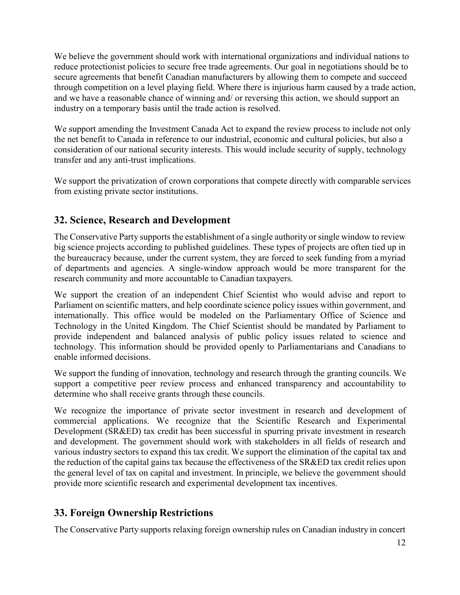We believe the government should work with international organizations and individual nations to reduce protectionist policies to secure free trade agreements. Our goal in negotiations should be to secure agreements that benefit Canadian manufacturers by allowing them to compete and succeed through competition on a level playing field. Where there is injurious harm caused by a trade action, and we have a reasonable chance of winning and/ or reversing this action, we should support an industry on a temporary basis until the trade action is resolved.

We support amending the Investment Canada Act to expand the review process to include not only the net benefit to Canada in reference to our industrial, economic and cultural policies, but also a consideration of our national security interests. This would include security of supply, technology transfer and any anti-trust implications.

We support the privatization of crown corporations that compete directly with comparable services from existing private sector institutions.

#### <span id="page-19-0"></span>**32. Science, Research and Development**

The Conservative Party supports the establishment of a single authority or single window to review big science projects according to published guidelines. These types of projects are often tied up in the bureaucracy because, under the current system, they are forced to seek funding from a myriad of departments and agencies. A single-window approach would be more transparent for the research community and more accountable to Canadian taxpayers.

We support the creation of an independent Chief Scientist who would advise and report to Parliament on scientific matters, and help coordinate science policy issues within government, and internationally. This office would be modeled on the Parliamentary Office of Science and Technology in the United Kingdom. The Chief Scientist should be mandated by Parliament to provide independent and balanced analysis of public policy issues related to science and technology. This information should be provided openly to Parliamentarians and Canadians to enable informed decisions.

We support the funding of innovation, technology and research through the granting councils. We support a competitive peer review process and enhanced transparency and accountability to determine who shall receive grants through these councils.

We recognize the importance of private sector investment in research and development of commercial applications. We recognize that the Scientific Research and Experimental Development (SR&ED) tax credit has been successful in spurring private investment in research and development. The government should work with stakeholders in all fields of research and various industry sectors to expand this tax credit. We support the elimination of the capital tax and the reduction of the capital gains tax because the effectiveness of the SR&ED tax credit relies upon the general level of tax on capital and investment. In principle, we believe the government should provide more scientific research and experimental development tax incentives.

#### <span id="page-19-1"></span>**33. Foreign Ownership Restrictions**

The Conservative Party supports relaxing foreign ownership rules on Canadian industry in concert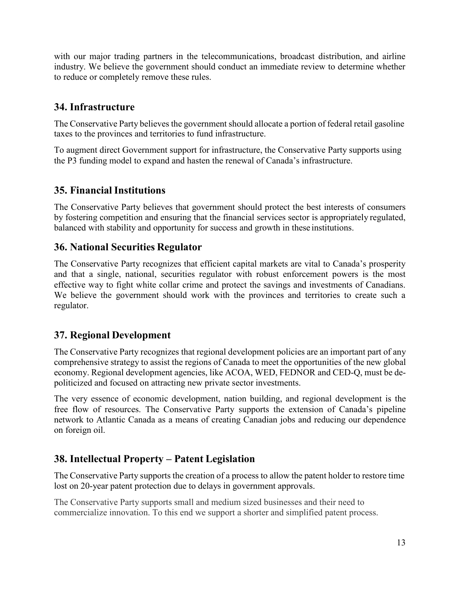with our major trading partners in the telecommunications, broadcast distribution, and airline industry. We believe the government should conduct an immediate review to determine whether to reduce or completely remove these rules.

#### <span id="page-20-0"></span>**34. Infrastructure**

The Conservative Party believes the government should allocate a portion of federal retail gasoline taxes to the provinces and territories to fund infrastructure.

To augment direct Government support for infrastructure, the Conservative Party supports using the P3 funding model to expand and hasten the renewal of Canada's infrastructure.

#### <span id="page-20-1"></span>**35. Financial Institutions**

The Conservative Party believes that government should protect the best interests of consumers by fostering competition and ensuring that the financial services sector is appropriately regulated, balanced with stability and opportunity for success and growth in these institutions.

#### <span id="page-20-2"></span>**36. National Securities Regulator**

The Conservative Party recognizes that efficient capital markets are vital to Canada's prosperity and that a single, national, securities regulator with robust enforcement powers is the most effective way to fight white collar crime and protect the savings and investments of Canadians. We believe the government should work with the provinces and territories to create such a regulator.

#### <span id="page-20-3"></span>**37. Regional Development**

The Conservative Party recognizes that regional development policies are an important part of any comprehensive strategy to assist the regions of Canada to meet the opportunities of the new global economy. Regional development agencies, like ACOA, WED, FEDNOR and CED-Q, must be depoliticized and focused on attracting new private sector investments.

The very essence of economic development, nation building, and regional development is the free flow of resources. The Conservative Party supports the extension of Canada's pipeline network to Atlantic Canada as a means of creating Canadian jobs and reducing our dependence on foreign oil.

#### <span id="page-20-4"></span>**38. Intellectual Property – Patent Legislation**

The Conservative Party supports the creation of a process to allow the patent holder to restore time lost on 20-year patent protection due to delays in government approvals.

The Conservative Party supports small and medium sized businesses and their need to commercialize innovation. To this end we support a shorter and simplified patent process.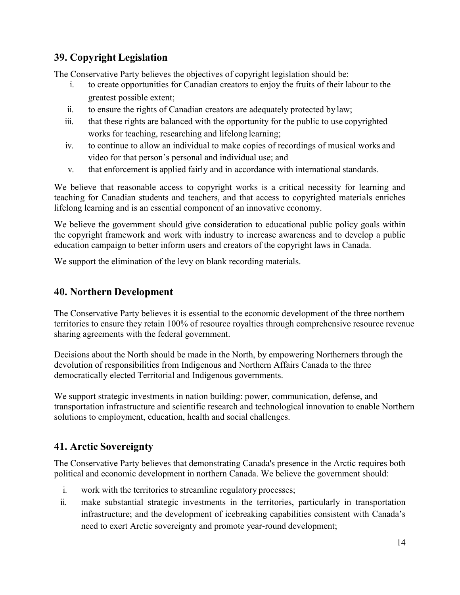#### <span id="page-21-0"></span>**39. Copyright Legislation**

The Conservative Party believes the objectives of copyright legislation should be:

- i. to create opportunities for Canadian creators to enjoy the fruits of their labour to the greatest possible extent;
- ii. to ensure the rights of Canadian creators are adequately protected by law;
- iii. that these rights are balanced with the opportunity for the public to use copyrighted works for teaching, researching and lifelong learning;
- iv. to continue to allow an individual to make copies of recordings of musical works and video for that person's personal and individual use; and
- v. that enforcement is applied fairly and in accordance with international standards.

We believe that reasonable access to copyright works is a critical necessity for learning and teaching for Canadian students and teachers, and that access to copyrighted materials enriches lifelong learning and is an essential component of an innovative economy.

We believe the government should give consideration to educational public policy goals within the copyright framework and work with industry to increase awareness and to develop a public education campaign to better inform users and creators of the copyright laws in Canada.

We support the elimination of the levy on blank recording materials.

#### <span id="page-21-1"></span>**40. Northern Development**

The Conservative Party believes it is essential to the economic development of the three northern territories to ensure they retain 100% of resource royalties through comprehensive resource revenue sharing agreements with the federal government.

Decisions about the North should be made in the North, by empowering Northerners through the devolution of responsibilities from Indigenous and Northern Affairs Canada to the three democratically elected Territorial and Indigenous governments.

We support strategic investments in nation building: power, communication, defense, and transportation infrastructure and scientific research and technological innovation to enable Northern solutions to employment, education, health and social challenges.

#### <span id="page-21-2"></span>**41. Arctic Sovereignty**

The Conservative Party believes that demonstrating Canada's presence in the Arctic requires both political and economic development in northern Canada. We believe the government should:

- i. work with the territories to streamline regulatory processes;
- ii. make substantial strategic investments in the territories, particularly in transportation infrastructure; and the development of icebreaking capabilities consistent with Canada's need to exert Arctic sovereignty and promote year-round development;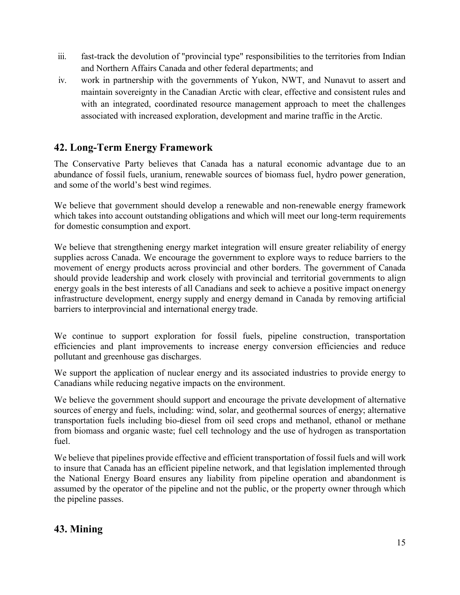- iii. fast-track the devolution of "provincial type" responsibilities to the territories from Indian and Northern Affairs Canada and other federal departments; and
- iv. work in partnership with the governments of Yukon, NWT, and Nunavut to assert and maintain sovereignty in the Canadian Arctic with clear, effective and consistent rules and with an integrated, coordinated resource management approach to meet the challenges associated with increased exploration, development and marine traffic in the Arctic.

#### <span id="page-22-0"></span>**42. Long-Term Energy Framework**

The Conservative Party believes that Canada has a natural economic advantage due to an abundance of fossil fuels, uranium, renewable sources of biomass fuel, hydro power generation, and some of the world's best wind regimes.

We believe that government should develop a renewable and non-renewable energy framework which takes into account outstanding obligations and which will meet our long-term requirements for domestic consumption and export.

We believe that strengthening energy market integration will ensure greater reliability of energy supplies across Canada. We encourage the government to explore ways to reduce barriers to the movement of energy products across provincial and other borders. The government of Canada should provide leadership and work closely with provincial and territorial governments to align energy goals in the best interests of all Canadians and seek to achieve a positive impact onenergy infrastructure development, energy supply and energy demand in Canada by removing artificial barriers to interprovincial and international energy trade.

We continue to support exploration for fossil fuels, pipeline construction, transportation efficiencies and plant improvements to increase energy conversion efficiencies and reduce pollutant and greenhouse gas discharges.

We support the application of nuclear energy and its associated industries to provide energy to Canadians while reducing negative impacts on the environment.

We believe the government should support and encourage the private development of alternative sources of energy and fuels, including: wind, solar, and geothermal sources of energy; alternative transportation fuels including bio-diesel from oil seed crops and methanol, ethanol or methane from biomass and organic waste; fuel cell technology and the use of hydrogen as transportation fuel.

We believe that pipelines provide effective and efficient transportation of fossil fuels and will work to insure that Canada has an efficient pipeline network, and that legislation implemented through the National Energy Board ensures any liability from pipeline operation and abandonment is assumed by the operator of the pipeline and not the public, or the property owner through which the pipeline passes.

#### <span id="page-22-1"></span>**43. Mining**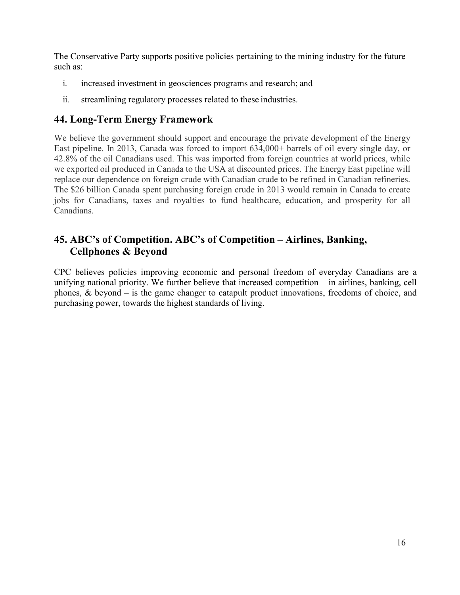The Conservative Party supports positive policies pertaining to the mining industry for the future such as:

- i. increased investment in geosciences programs and research; and
- ii. streamlining regulatory processes related to these industries.

#### <span id="page-23-0"></span>**44. Long-Term Energy Framework**

We believe the government should support and encourage the private development of the Energy East pipeline. In 2013, Canada was forced to import 634,000+ barrels of oil every single day, or 42.8% of the oil Canadians used. This was imported from foreign countries at world prices, while we exported oil produced in Canada to the USA at discounted prices. The Energy East pipeline will replace our dependence on foreign crude with Canadian crude to be refined in Canadian refineries. The \$26 billion Canada spent purchasing foreign crude in 2013 would remain in Canada to create jobs for Canadians, taxes and royalties to fund healthcare, education, and prosperity for all Canadians.

#### **45. ABC's of Competition. ABC's of Competition – Airlines, Banking, Cellphones & Beyond**

CPC believes policies improving economic and personal freedom of everyday Canadians are a unifying national priority. We further believe that increased competition – in airlines, banking, cell phones, & beyond – is the game changer to catapult product innovations, freedoms of choice, and purchasing power, towards the highest standards of living.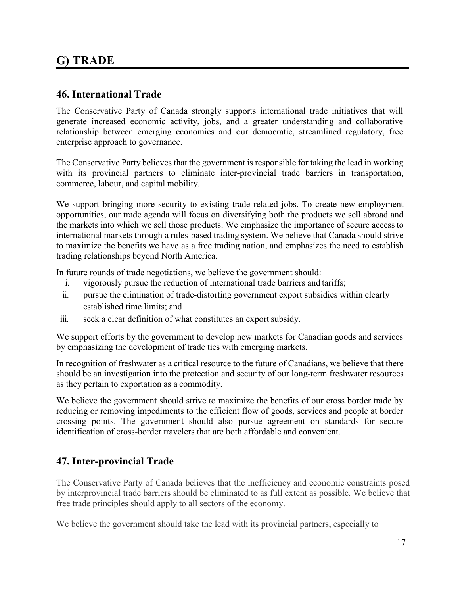### <span id="page-24-0"></span>**G) TRADE**

#### <span id="page-24-1"></span>**46. International Trade**

The Conservative Party of Canada strongly supports international trade initiatives that will generate increased economic activity, jobs, and a greater understanding and collaborative relationship between emerging economies and our democratic, streamlined regulatory, free enterprise approach to governance.

The Conservative Party believes that the government is responsible for taking the lead in working with its provincial partners to eliminate inter-provincial trade barriers in transportation, commerce, labour, and capital mobility.

We support bringing more security to existing trade related jobs. To create new employment opportunities, our trade agenda will focus on diversifying both the products we sell abroad and the markets into which we sell those products. We emphasize the importance of secure accessto international markets through a rules-based trading system. We believe that Canada should strive to maximize the benefits we have as a free trading nation, and emphasizes the need to establish trading relationships beyond North America.

In future rounds of trade negotiations, we believe the government should:

- i. vigorously pursue the reduction of international trade barriers and tariffs;
- ii. pursue the elimination of trade-distorting government export subsidies within clearly established time limits; and
- iii. seek a clear definition of what constitutes an export subsidy.

We support efforts by the government to develop new markets for Canadian goods and services by emphasizing the development of trade ties with emerging markets.

In recognition of freshwater as a critical resource to the future of Canadians, we believe that there should be an investigation into the protection and security of our long-term freshwater resources as they pertain to exportation as a commodity.

We believe the government should strive to maximize the benefits of our cross border trade by reducing or removing impediments to the efficient flow of goods, services and people at border crossing points. The government should also pursue agreement on standards for secure identification of cross-border travelers that are both affordable and convenient.

#### <span id="page-24-2"></span>**47. Inter-provincial Trade**

The Conservative Party of Canada believes that the inefficiency and economic constraints posed by interprovincial trade barriers should be eliminated to as full extent as possible. We believe that free trade principles should apply to all sectors of the economy.

We believe the government should take the lead with its provincial partners, especially to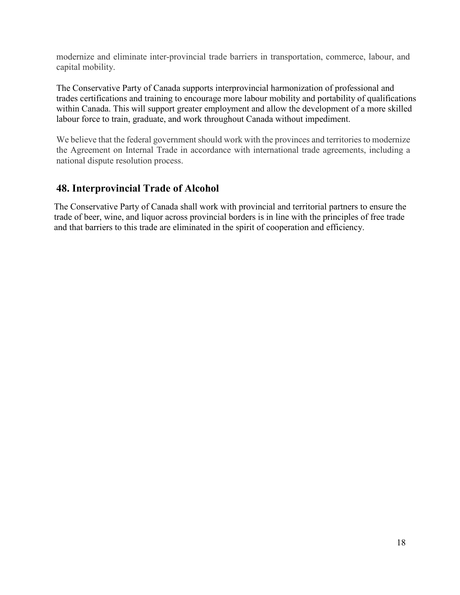modernize and eliminate inter-provincial trade barriers in transportation, commerce, labour, and capital mobility.

The Conservative Party of Canada supports interprovincial harmonization of professional and trades certifications and training to encourage more labour mobility and portability of qualifications within Canada. This will support greater employment and allow the development of a more skilled labour force to train, graduate, and work throughout Canada without impediment.

We believe that the federal government should work with the provinces and territories to modernize the Agreement on Internal Trade in accordance with international trade agreements, including a national dispute resolution process.

#### **48. Interprovincial Trade of Alcohol**

The Conservative Party of Canada shall work with provincial and territorial partners to ensure the trade of beer, wine, and liquor across provincial borders is in line with the principles of free trade and that barriers to this trade are eliminated in the spirit of cooperation and efficiency.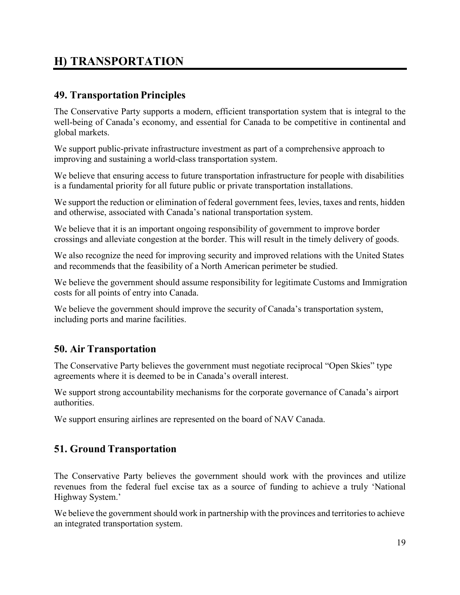## <span id="page-26-0"></span>**H) TRANSPORTATION**

#### <span id="page-26-1"></span>**49. Transportation Principles**

The Conservative Party supports a modern, efficient transportation system that is integral to the well-being of Canada's economy, and essential for Canada to be competitive in continental and global markets.

We support public-private infrastructure investment as part of a comprehensive approach to improving and sustaining a world-class transportation system.

We believe that ensuring access to future transportation infrastructure for people with disabilities is a fundamental priority for all future public or private transportation installations.

We support the reduction or elimination of federal government fees, levies, taxes and rents, hidden and otherwise, associated with Canada's national transportation system.

We believe that it is an important ongoing responsibility of government to improve border crossings and alleviate congestion at the border. This will result in the timely delivery of goods.

We also recognize the need for improving security and improved relations with the United States and recommends that the feasibility of a North American perimeter be studied.

We believe the government should assume responsibility for legitimate Customs and Immigration costs for all points of entry into Canada.

We believe the government should improve the security of Canada's transportation system, including ports and marine facilities.

#### <span id="page-26-2"></span>**50. Air Transportation**

The Conservative Party believes the government must negotiate reciprocal "Open Skies" type agreements where it is deemed to be in Canada's overall interest.

We support strong accountability mechanisms for the corporate governance of Canada's airport authorities.

We support ensuring airlines are represented on the board of NAV Canada.

#### <span id="page-26-3"></span>**51. Ground Transportation**

The Conservative Party believes the government should work with the provinces and utilize revenues from the federal fuel excise tax as a source of funding to achieve a truly 'National Highway System.'

We believe the government should work in partnership with the provinces and territories to achieve an integrated transportation system.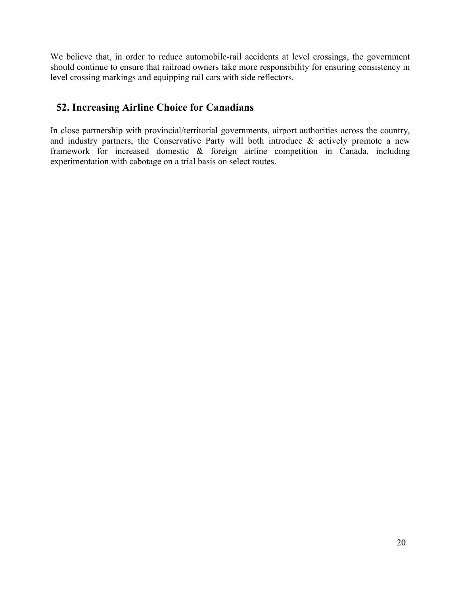We believe that, in order to reduce automobile-rail accidents at level crossings, the government should continue to ensure that railroad owners take more responsibility for ensuring consistency in level crossing markings and equipping rail cars with side reflectors.

### **52. Increasing Airline Choice for Canadians**

In close partnership with provincial/territorial governments, airport authorities across the country, and industry partners, the Conservative Party will both introduce & actively promote a new framework for increased domestic & foreign airline competition in Canada, including experimentation with cabotage on a trial basis on select routes.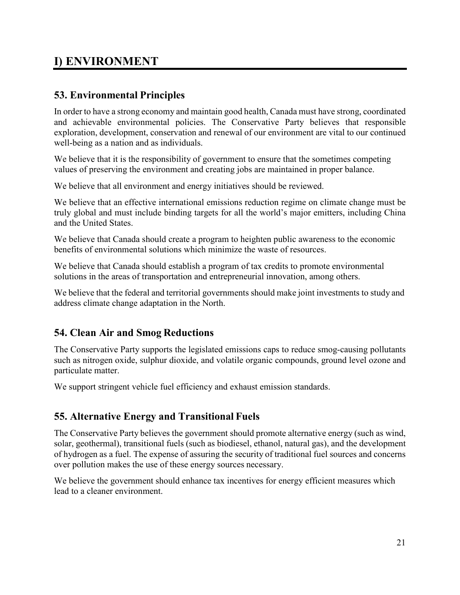## <span id="page-28-0"></span>**I) ENVIRONMENT**

#### <span id="page-28-1"></span>**53. Environmental Principles**

In order to have a strong economy and maintain good health, Canada must have strong, coordinated and achievable environmental policies. The Conservative Party believes that responsible exploration, development, conservation and renewal of our environment are vital to our continued well-being as a nation and as individuals.

We believe that it is the responsibility of government to ensure that the sometimes competing values of preserving the environment and creating jobs are maintained in proper balance.

We believe that all environment and energy initiatives should be reviewed.

We believe that an effective international emissions reduction regime on climate change must be truly global and must include binding targets for all the world's major emitters, including China and the United States.

We believe that Canada should create a program to heighten public awareness to the economic benefits of environmental solutions which minimize the waste of resources.

We believe that Canada should establish a program of tax credits to promote environmental solutions in the areas of transportation and entrepreneurial innovation, among others.

We believe that the federal and territorial governments should make joint investments to study and address climate change adaptation in the North.

#### <span id="page-28-2"></span>**54. Clean Air and Smog Reductions**

The Conservative Party supports the legislated emissions caps to reduce smog-causing pollutants such as nitrogen oxide, sulphur dioxide, and volatile organic compounds, ground level ozone and particulate matter.

We support stringent vehicle fuel efficiency and exhaust emission standards.

#### <span id="page-28-3"></span>**55. Alternative Energy and Transitional Fuels**

The Conservative Party believes the government should promote alternative energy (such as wind, solar, geothermal), transitional fuels (such as biodiesel, ethanol, natural gas), and the development of hydrogen as a fuel. The expense of assuring the security of traditional fuel sources and concerns over pollution makes the use of these energy sources necessary.

We believe the government should enhance tax incentives for energy efficient measures which lead to a cleaner environment.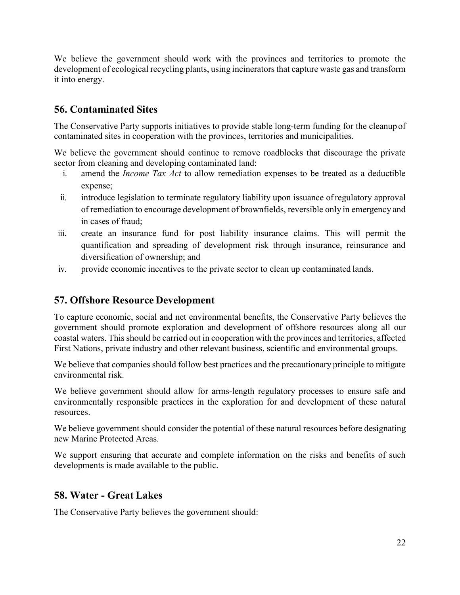We believe the government should work with the provinces and territories to promote the development of ecological recycling plants, using incinerators that capture waste gas and transform it into energy.

#### <span id="page-29-0"></span>**56. Contaminated Sites**

The Conservative Party supports initiatives to provide stable long-term funding for the cleanup of contaminated sites in cooperation with the provinces, territories and municipalities.

We believe the government should continue to remove roadblocks that discourage the private sector from cleaning and developing contaminated land:

- i. amend the *Income Tax Act* to allow remediation expenses to be treated as a deductible expense;
- ii. introduce legislation to terminate regulatory liability upon issuance ofregulatory approval of remediation to encourage development of brownfields, reversible only in emergency and in cases of fraud;
- iii. create an insurance fund for post liability insurance claims. This will permit the quantification and spreading of development risk through insurance, reinsurance and diversification of ownership; and
- iv. provide economic incentives to the private sector to clean up contaminated lands.

#### <span id="page-29-1"></span>**57. Offshore Resource Development**

To capture economic, social and net environmental benefits, the Conservative Party believes the government should promote exploration and development of offshore resources along all our coastal waters. This should be carried out in cooperation with the provinces and territories, affected First Nations, private industry and other relevant business, scientific and environmental groups.

We believe that companies should follow best practices and the precautionary principle to mitigate environmental risk.

We believe government should allow for arms-length regulatory processes to ensure safe and environmentally responsible practices in the exploration for and development of these natural resources.

We believe government should consider the potential of these natural resources before designating new Marine Protected Areas.

We support ensuring that accurate and complete information on the risks and benefits of such developments is made available to the public.

#### <span id="page-29-2"></span>**58. Water - Great Lakes**

The Conservative Party believes the government should: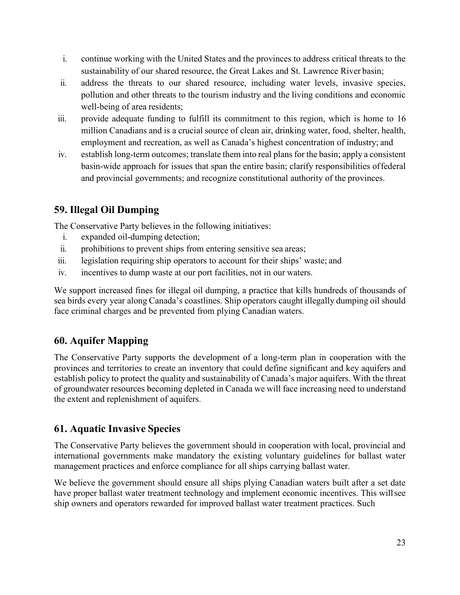- i. continue working with the United States and the provinces to address critical threats to the sustainability of our shared resource, the Great Lakes and St. Lawrence River basin;
- ii. address the threats to our shared resource, including water levels, invasive species, pollution and other threats to the tourism industry and the living conditions and economic well-being of area residents;
- iii. provide adequate funding to fulfill its commitment to this region, which is home to 16 million Canadians and is a crucial source of clean air, drinking water, food, shelter, health, employment and recreation, as well as Canada's highest concentration of industry; and
- iv. establish long-term outcomes; translate them into real plansfor the basin; apply a consistent basin-wide approach for issues that span the entire basin; clarify responsibilities offederal and provincial governments; and recognize constitutional authority of the provinces.

#### <span id="page-30-0"></span>**59. Illegal Oil Dumping**

The Conservative Party believes in the following initiatives:

- i. expanded oil-dumping detection;
- ii. prohibitions to prevent ships from entering sensitive sea areas;
- iii. legislation requiring ship operators to account for their ships' waste; and
- iv. incentives to dump waste at our port facilities, not in our waters.

We support increased fines for illegal oil dumping, a practice that kills hundreds of thousands of sea birds every year along Canada's coastlines. Ship operators caught illegally dumping oil should face criminal charges and be prevented from plying Canadian waters.

#### <span id="page-30-1"></span>**60. Aquifer Mapping**

The Conservative Party supports the development of a long-term plan in cooperation with the provinces and territories to create an inventory that could define significant and key aquifers and establish policy to protect the quality and sustainability of Canada's major aquifers. With the threat of groundwater resources becoming depleted in Canada we will face increasing need to understand the extent and replenishment of aquifers.

#### <span id="page-30-2"></span>**61. Aquatic Invasive Species**

The Conservative Party believes the government should in cooperation with local, provincial and international governments make mandatory the existing voluntary guidelines for ballast water management practices and enforce compliance for all ships carrying ballast water.

We believe the government should ensure all ships plying Canadian waters built after a set date have proper ballast water treatment technology and implement economic incentives. This willsee ship owners and operators rewarded for improved ballast water treatment practices. Such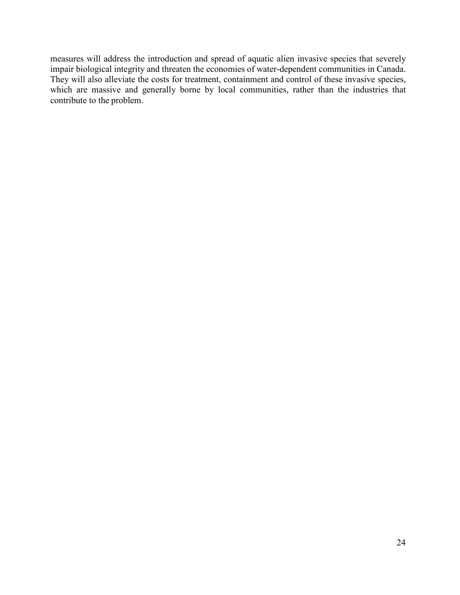measures will address the introduction and spread of aquatic alien invasive species that severely impair biological integrity and threaten the economies of water-dependent communities in Canada. They will also alleviate the costs for treatment, containment and control of these invasive species, which are massive and generally borne by local communities, rather than the industries that contribute to the problem.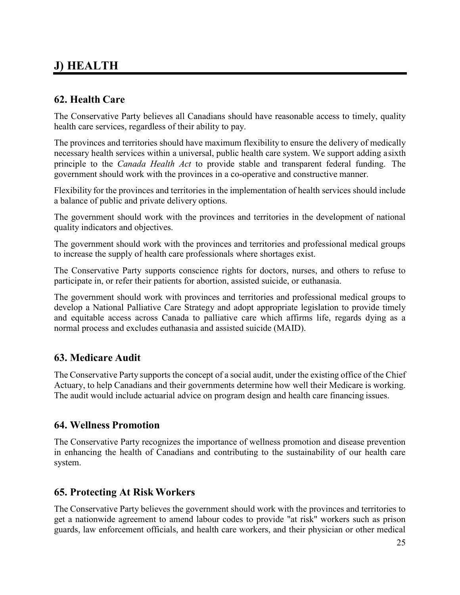## <span id="page-32-0"></span>**J) HEALTH**

#### <span id="page-32-1"></span>**62. Health Care**

The Conservative Party believes all Canadians should have reasonable access to timely, quality health care services, regardless of their ability to pay.

The provinces and territories should have maximum flexibility to ensure the delivery of medically necessary health services within a universal, public health care system. We support adding asixth principle to the *Canada Health Act* to provide stable and transparent federal funding. The government should work with the provinces in a co-operative and constructive manner.

Flexibility for the provinces and territories in the implementation of health services should include a balance of public and private delivery options.

The government should work with the provinces and territories in the development of national quality indicators and objectives.

The government should work with the provinces and territories and professional medical groups to increase the supply of health care professionals where shortages exist.

The Conservative Party supports conscience rights for doctors, nurses, and others to refuse to participate in, or refer their patients for abortion, assisted suicide, or euthanasia.

The government should work with provinces and territories and professional medical groups to develop a National Palliative Care Strategy and adopt appropriate legislation to provide timely and equitable access across Canada to palliative care which affirms life, regards dying as a normal process and excludes euthanasia and assisted suicide (MAID).

#### <span id="page-32-2"></span>**63. Medicare Audit**

The Conservative Party supports the concept of a social audit, under the existing office of the Chief Actuary, to help Canadians and their governments determine how well their Medicare is working. The audit would include actuarial advice on program design and health care financing issues.

#### <span id="page-32-3"></span>**64. Wellness Promotion**

The Conservative Party recognizes the importance of wellness promotion and disease prevention in enhancing the health of Canadians and contributing to the sustainability of our health care system.

#### <span id="page-32-4"></span>**65. Protecting At Risk Workers**

The Conservative Party believes the government should work with the provinces and territories to get a nationwide agreement to amend labour codes to provide "at risk" workers such as prison guards, law enforcement officials, and health care workers, and their physician or other medical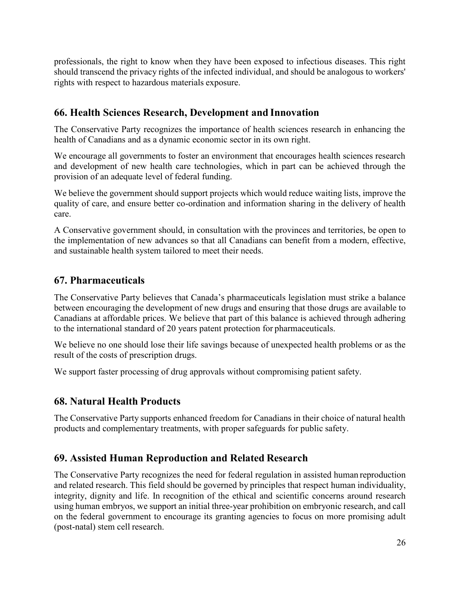professionals, the right to know when they have been exposed to infectious diseases. This right should transcend the privacy rights of the infected individual, and should be analogous to workers' rights with respect to hazardous materials exposure.

#### <span id="page-33-0"></span>**66. Health Sciences Research, Development and Innovation**

The Conservative Party recognizes the importance of health sciences research in enhancing the health of Canadians and as a dynamic economic sector in its own right.

We encourage all governments to foster an environment that encourages health sciences research and development of new health care technologies, which in part can be achieved through the provision of an adequate level of federal funding.

We believe the government should support projects which would reduce waiting lists, improve the quality of care, and ensure better co-ordination and information sharing in the delivery of health care.

A Conservative government should, in consultation with the provinces and territories, be open to the implementation of new advances so that all Canadians can benefit from a modern, effective, and sustainable health system tailored to meet their needs.

#### <span id="page-33-1"></span>**67. Pharmaceuticals**

The Conservative Party believes that Canada's pharmaceuticals legislation must strike a balance between encouraging the development of new drugs and ensuring that those drugs are available to Canadians at affordable prices. We believe that part of this balance is achieved through adhering to the international standard of 20 years patent protection for pharmaceuticals.

We believe no one should lose their life savings because of unexpected health problems or as the result of the costs of prescription drugs.

We support faster processing of drug approvals without compromising patient safety.

#### <span id="page-33-2"></span>**68. Natural Health Products**

The Conservative Party supports enhanced freedom for Canadians in their choice of natural health products and complementary treatments, with proper safeguards for public safety.

#### <span id="page-33-3"></span>**69. Assisted Human Reproduction and Related Research**

The Conservative Party recognizes the need for federal regulation in assisted human reproduction and related research. This field should be governed by principles that respect human individuality, integrity, dignity and life. In recognition of the ethical and scientific concerns around research using human embryos, we support an initial three-year prohibition on embryonic research, and call on the federal government to encourage its granting agencies to focus on more promising adult (post-natal) stem cell research.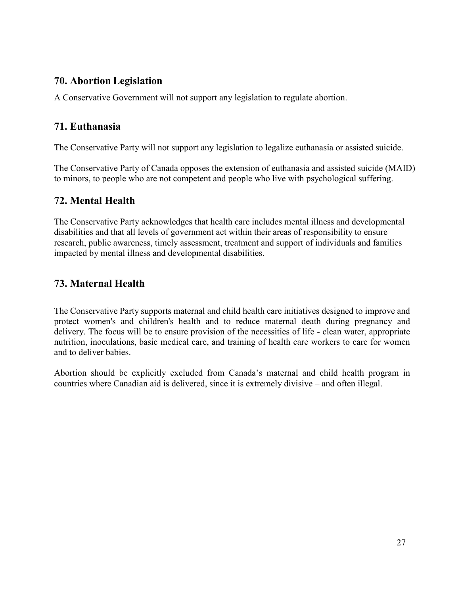#### <span id="page-34-0"></span>**70. Abortion Legislation**

A Conservative Government will not support any legislation to regulate abortion.

#### <span id="page-34-1"></span>**71. Euthanasia**

The Conservative Party will not support any legislation to legalize euthanasia or assisted suicide.

The Conservative Party of Canada opposes the extension of euthanasia and assisted suicide (MAID) to minors, to people who are not competent and people who live with psychological suffering.

#### <span id="page-34-2"></span>**72. Mental Health**

The Conservative Party acknowledges that health care includes mental illness and developmental disabilities and that all levels of government act within their areas of responsibility to ensure research, public awareness, timely assessment, treatment and support of individuals and families impacted by mental illness and developmental disabilities.

#### <span id="page-34-3"></span>**73. Maternal Health**

The Conservative Party supports maternal and child health care initiatives designed to improve and protect women's and children's health and to reduce maternal death during pregnancy and delivery. The focus will be to ensure provision of the necessities of life - clean water, appropriate nutrition, inoculations, basic medical care, and training of health care workers to care for women and to deliver babies.

Abortion should be explicitly excluded from Canada's maternal and child health program in countries where Canadian aid is delivered, since it is extremely divisive – and often illegal.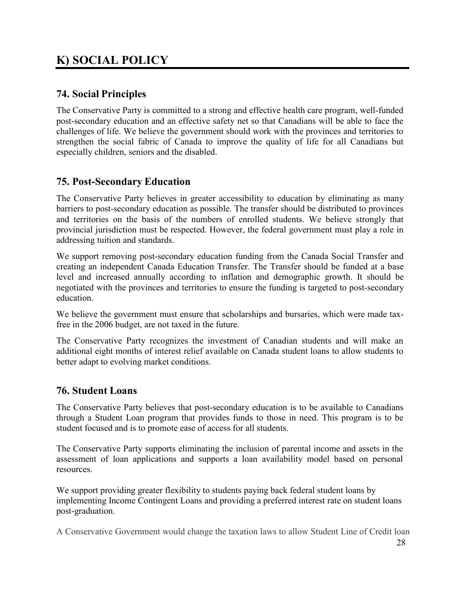## <span id="page-35-0"></span>**K) SOCIAL POLICY**

#### <span id="page-35-1"></span>**74. Social Principles**

The Conservative Party is committed to a strong and effective health care program, well-funded post-secondary education and an effective safety net so that Canadians will be able to face the challenges of life. We believe the government should work with the provinces and territories to strengthen the social fabric of Canada to improve the quality of life for all Canadians but especially children, seniors and the disabled.

#### <span id="page-35-2"></span>**75. Post-Secondary Education**

The Conservative Party believes in greater accessibility to education by eliminating as many barriers to post-secondary education as possible. The transfer should be distributed to provinces and territories on the basis of the numbers of enrolled students. We believe strongly that provincial jurisdiction must be respected. However, the federal government must play a role in addressing tuition and standards.

We support removing post-secondary education funding from the Canada Social Transfer and creating an independent Canada Education Transfer. The Transfer should be funded at a base level and increased annually according to inflation and demographic growth. It should be negotiated with the provinces and territories to ensure the funding is targeted to post-secondary education.

We believe the government must ensure that scholarships and bursaries, which were made taxfree in the 2006 budget, are not taxed in the future.

The Conservative Party recognizes the investment of Canadian students and will make an additional eight months of interest relief available on Canada student loans to allow students to better adapt to evolving market conditions.

#### <span id="page-35-3"></span>**76. Student Loans**

The Conservative Party believes that post-secondary education is to be available to Canadians through a Student Loan program that provides funds to those in need. This program is to be student focused and is to promote ease of access for all students.

The Conservative Party supports eliminating the inclusion of parental income and assets in the assessment of loan applications and supports a loan availability model based on personal resources.

We support providing greater flexibility to students paying back federal student loans by implementing Income Contingent Loans and providing a preferred interest rate on student loans post-graduation.

A Conservative Government would change the taxation laws to allow Student Line of Credit loan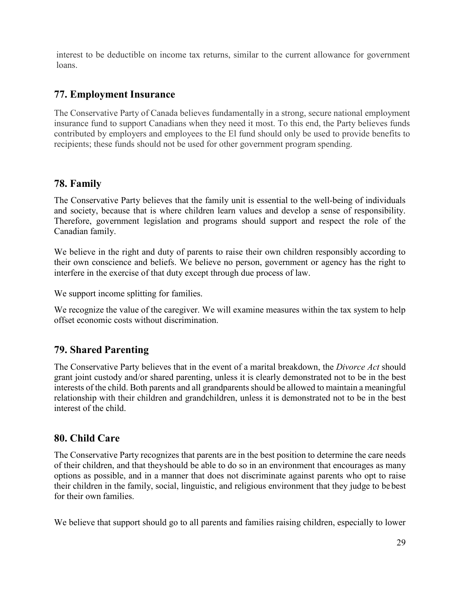<span id="page-36-0"></span>interest to be deductible on income tax returns, similar to the current allowance for government loans.

#### <span id="page-36-1"></span>**77. Employment Insurance**

The Conservative Party of Canada believes fundamentally in a strong, secure national employment insurance fund to support Canadians when they need it most. To this end, the Party believes funds contributed by employers and employees to the El fund should only be used to provide benefits to recipients; these funds should not be used for other government program spending.

#### **78. Family**

The Conservative Party believes that the family unit is essential to the well-being of individuals and society, because that is where children learn values and develop a sense of responsibility. Therefore, government legislation and programs should support and respect the role of the Canadian family.

We believe in the right and duty of parents to raise their own children responsibly according to their own conscience and beliefs. We believe no person, government or agency has the right to interfere in the exercise of that duty except through due process of law.

We support income splitting for families.

We recognize the value of the caregiver. We will examine measures within the tax system to help offset economic costs without discrimination.

#### <span id="page-36-2"></span>**79. Shared Parenting**

The Conservative Party believes that in the event of a marital breakdown, the *Divorce Act* should grant joint custody and/or shared parenting, unless it is clearly demonstrated not to be in the best interests of the child. Both parents and all grandparents should be allowed to maintain a meaningful relationship with their children and grandchildren, unless it is demonstrated not to be in the best interest of the child.

#### <span id="page-36-3"></span>**80. Child Care**

The Conservative Party recognizes that parents are in the best position to determine the care needs of their children, and that theyshould be able to do so in an environment that encourages as many options as possible, and in a manner that does not discriminate against parents who opt to raise their children in the family, social, linguistic, and religious environment that they judge to be best for their own families.

We believe that support should go to all parents and families raising children, especially to lower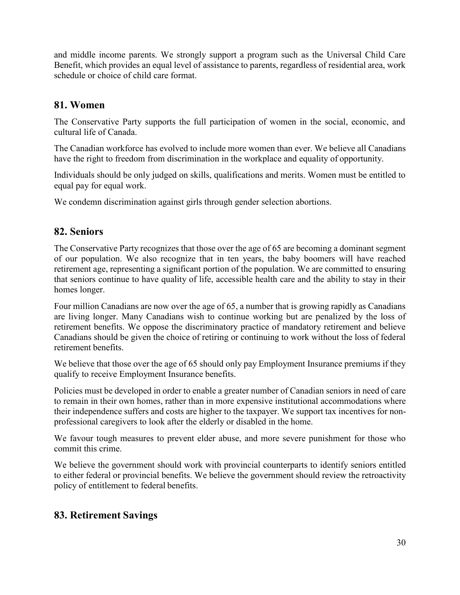and middle income parents. We strongly support a program such as the Universal Child Care Benefit, which provides an equal level of assistance to parents, regardless of residential area, work schedule or choice of child care format.

#### <span id="page-37-0"></span>**81. Women**

The Conservative Party supports the full participation of women in the social, economic, and cultural life of Canada.

The Canadian workforce has evolved to include more women than ever. We believe all Canadians have the right to freedom from discrimination in the workplace and equality of opportunity.

Individuals should be only judged on skills, qualifications and merits. Women must be entitled to equal pay for equal work.

We condemn discrimination against girls through gender selection abortions.

#### <span id="page-37-1"></span>**82. Seniors**

The Conservative Party recognizes that those over the age of 65 are becoming a dominant segment of our population. We also recognize that in ten years, the baby boomers will have reached retirement age, representing a significant portion of the population. We are committed to ensuring that seniors continue to have quality of life, accessible health care and the ability to stay in their homes longer.

Four million Canadians are now over the age of 65, a number that is growing rapidly as Canadians are living longer. Many Canadians wish to continue working but are penalized by the loss of retirement benefits. We oppose the discriminatory practice of mandatory retirement and believe Canadians should be given the choice of retiring or continuing to work without the loss of federal retirement benefits.

We believe that those over the age of 65 should only pay Employment Insurance premiums if they qualify to receive Employment Insurance benefits.

Policies must be developed in order to enable a greater number of Canadian seniors in need of care to remain in their own homes, rather than in more expensive institutional accommodations where their independence suffers and costs are higher to the taxpayer. We support tax incentives for nonprofessional caregivers to look after the elderly or disabled in the home.

We favour tough measures to prevent elder abuse, and more severe punishment for those who commit this crime.

We believe the government should work with provincial counterparts to identify seniors entitled to either federal or provincial benefits. We believe the government should review the retroactivity policy of entitlement to federal benefits.

#### <span id="page-37-2"></span>**83. Retirement Savings**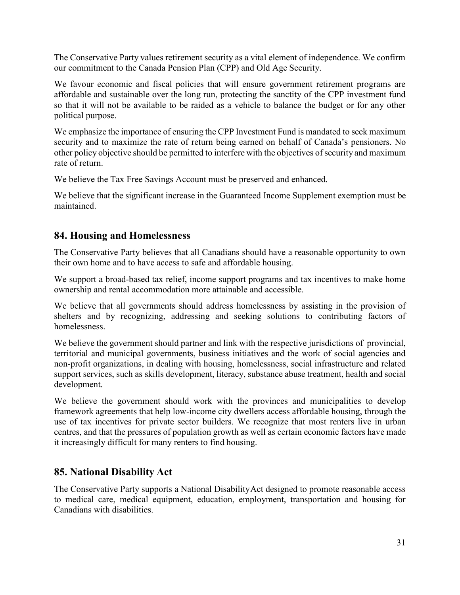The Conservative Party values retirement security as a vital element of independence. We confirm our commitment to the Canada Pension Plan (CPP) and Old Age Security.

We favour economic and fiscal policies that will ensure government retirement programs are affordable and sustainable over the long run, protecting the sanctity of the CPP investment fund so that it will not be available to be raided as a vehicle to balance the budget or for any other political purpose.

We emphasize the importance of ensuring the CPP Investment Fund is mandated to seek maximum security and to maximize the rate of return being earned on behalf of Canada's pensioners. No other policy objective should be permitted to interfere with the objectives of security and maximum rate of return.

We believe the Tax Free Savings Account must be preserved and enhanced.

We believe that the significant increase in the Guaranteed Income Supplement exemption must be maintained.

#### <span id="page-38-0"></span>**84. Housing and Homelessness**

The Conservative Party believes that all Canadians should have a reasonable opportunity to own their own home and to have access to safe and affordable housing.

We support a broad-based tax relief, income support programs and tax incentives to make home ownership and rental accommodation more attainable and accessible.

We believe that all governments should address homelessness by assisting in the provision of shelters and by recognizing, addressing and seeking solutions to contributing factors of homelessness.

We believe the government should partner and link with the respective jurisdictions of provincial, territorial and municipal governments, business initiatives and the work of social agencies and non-profit organizations, in dealing with housing, homelessness, social infrastructure and related support services, such as skills development, literacy, substance abuse treatment, health and social development.

We believe the government should work with the provinces and municipalities to develop framework agreements that help low-income city dwellers access affordable housing, through the use of tax incentives for private sector builders. We recognize that most renters live in urban centres, and that the pressures of population growth as well as certain economic factors have made it increasingly difficult for many renters to find housing.

#### <span id="page-38-1"></span>**85. National Disability Act**

The Conservative Party supports a National DisabilityAct designed to promote reasonable access to medical care, medical equipment, education, employment, transportation and housing for Canadians with disabilities.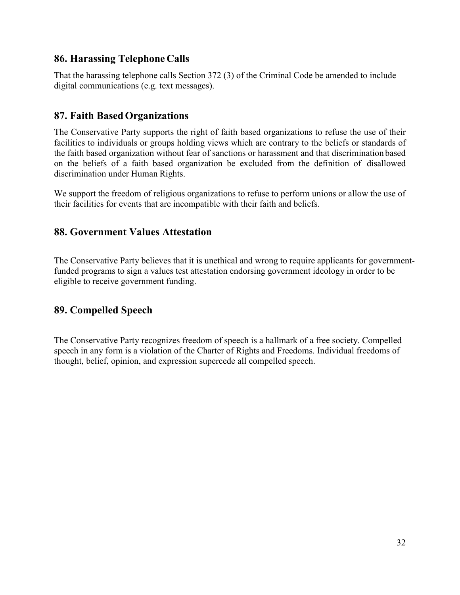#### <span id="page-39-0"></span>**86. Harassing Telephone Calls**

That the harassing telephone calls Section 372 (3) of the Criminal Code be amended to include digital communications (e.g. text messages).

#### <span id="page-39-1"></span>**87. Faith BasedOrganizations**

The Conservative Party supports the right of faith based organizations to refuse the use of their facilities to individuals or groups holding views which are contrary to the beliefs or standards of the faith based organization without fear of sanctions or harassment and that discrimination based on the beliefs of a faith based organization be excluded from the definition of disallowed discrimination under Human Rights.

We support the freedom of religious organizations to refuse to perform unions or allow the use of their facilities for events that are incompatible with their faith and beliefs.

#### **88. Government Values Attestation**

The Conservative Party believes that it is unethical and wrong to require applicants for governmentfunded programs to sign a values test attestation endorsing government ideology in order to be eligible to receive government funding.

#### **89. Compelled Speech**

The Conservative Party recognizes freedom of speech is a hallmark of a free society. Compelled speech in any form is a violation of the Charter of Rights and Freedoms. Individual freedoms of thought, belief, opinion, and expression supercede all compelled speech.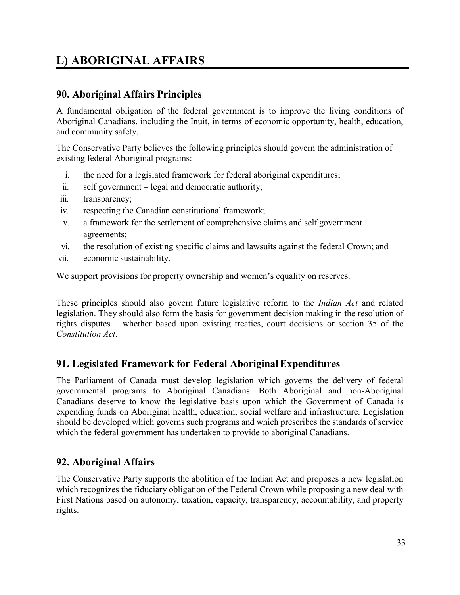## <span id="page-40-0"></span>**L) ABORIGINAL AFFAIRS**

#### <span id="page-40-1"></span>**90. Aboriginal Affairs Principles**

A fundamental obligation of the federal government is to improve the living conditions of Aboriginal Canadians, including the Inuit, in terms of economic opportunity, health, education, and community safety.

The Conservative Party believes the following principles should govern the administration of existing federal Aboriginal programs:

- i. the need for a legislated framework for federal aboriginal expenditures;
- ii. self government legal and democratic authority;
- iii. transparency;
- iv. respecting the Canadian constitutional framework;
- v. a framework for the settlement of comprehensive claims and self government agreements;
- vi. the resolution of existing specific claims and lawsuits against the federal Crown; and
- vii. economic sustainability.

We support provisions for property ownership and women's equality on reserves.

These principles should also govern future legislative reform to the *Indian Act* and related legislation. They should also form the basis for government decision making in the resolution of rights disputes – whether based upon existing treaties, court decisions or section 35 of the *Constitution Act*.

#### <span id="page-40-2"></span>**91. Legislated Framework for Federal AboriginalExpenditures**

The Parliament of Canada must develop legislation which governs the delivery of federal governmental programs to Aboriginal Canadians. Both Aboriginal and non-Aboriginal Canadians deserve to know the legislative basis upon which the Government of Canada is expending funds on Aboriginal health, education, social welfare and infrastructure. Legislation should be developed which governs such programs and which prescribes the standards of service which the federal government has undertaken to provide to aboriginal Canadians.

#### <span id="page-40-3"></span>**92. Aboriginal Affairs**

The Conservative Party supports the abolition of the Indian Act and proposes a new legislation which recognizes the fiduciary obligation of the Federal Crown while proposing a new deal with First Nations based on autonomy, taxation, capacity, transparency, accountability, and property rights.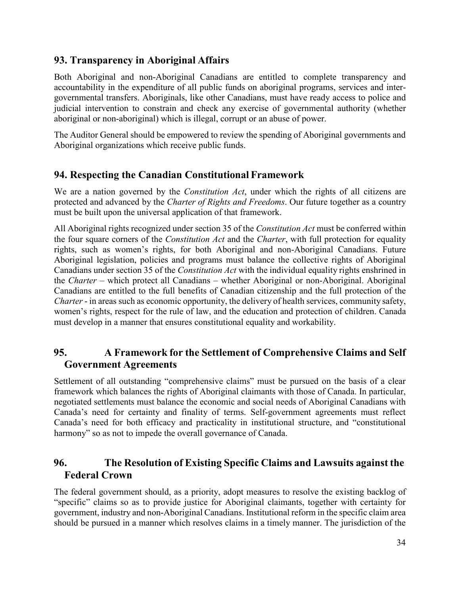#### <span id="page-41-0"></span>**93. Transparency in Aboriginal Affairs**

Both Aboriginal and non-Aboriginal Canadians are entitled to complete transparency and accountability in the expenditure of all public funds on aboriginal programs, services and intergovernmental transfers. Aboriginals, like other Canadians, must have ready access to police and judicial intervention to constrain and check any exercise of governmental authority (whether aboriginal or non-aboriginal) which is illegal, corrupt or an abuse of power.

The Auditor General should be empowered to review the spending of Aboriginal governments and Aboriginal organizations which receive public funds.

#### <span id="page-41-1"></span>**94. Respecting the Canadian Constitutional Framework**

We are a nation governed by the *Constitution Act*, under which the rights of all citizens are protected and advanced by the *Charter of Rights and Freedoms*. Our future together as a country must be built upon the universal application of that framework.

All Aboriginal rights recognized under section 35 of the *Constitution Act* must be conferred within the four square corners of the *Constitution Act* and the *Charter*, with full protection for equality rights, such as women's rights, for both Aboriginal and non-Aboriginal Canadians. Future Aboriginal legislation, policies and programs must balance the collective rights of Aboriginal Canadians under section 35 of the *Constitution Act* with the individual equality rights enshrined in the *Charter* – which protect all Canadians – whether Aboriginal or non-Aboriginal. Aboriginal Canadians are entitled to the full benefits of Canadian citizenship and the full protection of the *Charter* - in areas such as economic opportunity, the delivery of health services, community safety, women's rights, respect for the rule of law, and the education and protection of children. Canada must develop in a manner that ensures constitutional equality and workability.

#### <span id="page-41-2"></span>**95. A Framework for the Settlement of Comprehensive Claims and Self Government Agreements**

Settlement of all outstanding "comprehensive claims" must be pursued on the basis of a clear framework which balances the rights of Aboriginal claimants with those of Canada. In particular, negotiated settlements must balance the economic and social needs of Aboriginal Canadians with Canada's need for certainty and finality of terms. Self-government agreements must reflect Canada's need for both efficacy and practicality in institutional structure, and "constitutional harmony" so as not to impede the overall governance of Canada.

#### <span id="page-41-3"></span>**96. The Resolution of Existing Specific Claims and Lawsuits against the Federal Crown**

The federal government should, as a priority, adopt measures to resolve the existing backlog of "specific" claims so as to provide justice for Aboriginal claimants, together with certainty for government, industry and non-Aboriginal Canadians. Institutional reform in the specific claim area should be pursued in a manner which resolves claims in a timely manner. The jurisdiction of the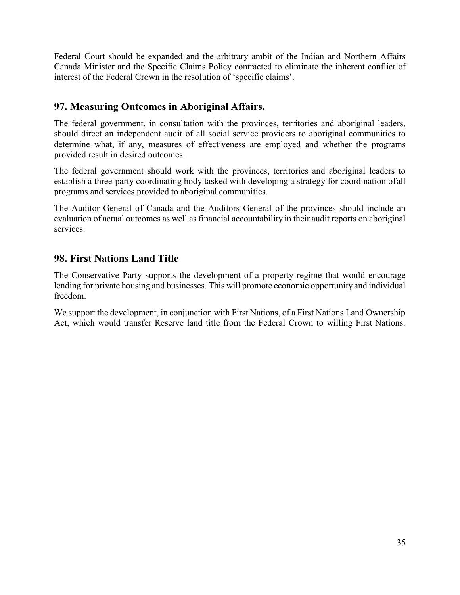Federal Court should be expanded and the arbitrary ambit of the Indian and Northern Affairs Canada Minister and the Specific Claims Policy contracted to eliminate the inherent conflict of interest of the Federal Crown in the resolution of 'specific claims'.

#### <span id="page-42-0"></span>**97. Measuring Outcomes in Aboriginal Affairs.**

The federal government, in consultation with the provinces, territories and aboriginal leaders, should direct an independent audit of all social service providers to aboriginal communities to determine what, if any, measures of effectiveness are employed and whether the programs provided result in desired outcomes.

The federal government should work with the provinces, territories and aboriginal leaders to establish a three-party coordinating body tasked with developing a strategy for coordination ofall programs and services provided to aboriginal communities.

The Auditor General of Canada and the Auditors General of the provinces should include an evaluation of actual outcomes as well as financial accountability in their audit reports on aboriginal services.

#### <span id="page-42-1"></span>**98. First Nations Land Title**

The Conservative Party supports the development of a property regime that would encourage lending for private housing and businesses. This will promote economic opportunity and individual freedom.

We support the development, in conjunction with First Nations, of a First Nations Land Ownership Act, which would transfer Reserve land title from the Federal Crown to willing First Nations.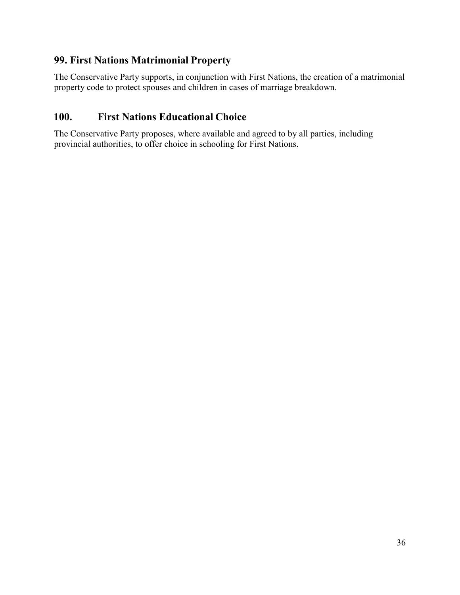#### <span id="page-43-0"></span>**99. First Nations Matrimonial Property**

The Conservative Party supports, in conjunction with First Nations, the creation of a matrimonial property code to protect spouses and children in cases of marriage breakdown.

#### <span id="page-43-1"></span>**100. First Nations Educational Choice**

The Conservative Party proposes, where available and agreed to by all parties, including provincial authorities, to offer choice in schooling for First Nations.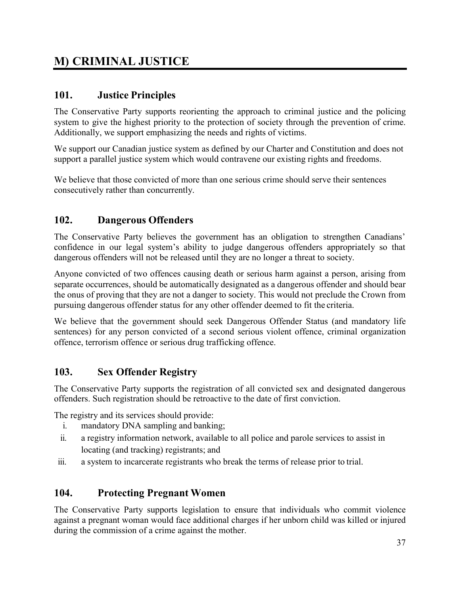## <span id="page-44-0"></span>**M) CRIMINAL JUSTICE**

#### <span id="page-44-1"></span>**101. Justice Principles**

The Conservative Party supports reorienting the approach to criminal justice and the policing system to give the highest priority to the protection of society through the prevention of crime. Additionally, we support emphasizing the needs and rights of victims.

We support our Canadian justice system as defined by our Charter and Constitution and does not support a parallel justice system which would contravene our existing rights and freedoms.

We believe that those convicted of more than one serious crime should serve their sentences consecutively rather than concurrently.

#### <span id="page-44-2"></span>**102. Dangerous Offenders**

The Conservative Party believes the government has an obligation to strengthen Canadians' confidence in our legal system's ability to judge dangerous offenders appropriately so that dangerous offenders will not be released until they are no longer a threat to society.

Anyone convicted of two offences causing death or serious harm against a person, arising from separate occurrences, should be automatically designated as a dangerous offender and should bear the onus of proving that they are not a danger to society. This would not preclude the Crown from pursuing dangerous offender status for any other offender deemed to fit the criteria.

We believe that the government should seek Dangerous Offender Status (and mandatory life sentences) for any person convicted of a second serious violent offence, criminal organization offence, terrorism offence or serious drug trafficking offence.

#### <span id="page-44-3"></span>**103. Sex Offender Registry**

The Conservative Party supports the registration of all convicted sex and designated dangerous offenders. Such registration should be retroactive to the date of first conviction.

The registry and its services should provide:

- i. mandatory DNA sampling and banking;
- ii. a registry information network, available to all police and parole services to assist in locating (and tracking) registrants; and
- iii. a system to incarcerate registrants who break the terms of release prior to trial.

#### <span id="page-44-4"></span>**104. Protecting Pregnant Women**

The Conservative Party supports legislation to ensure that individuals who commit violence against a pregnant woman would face additional charges if her unborn child was killed or injured during the commission of a crime against the mother.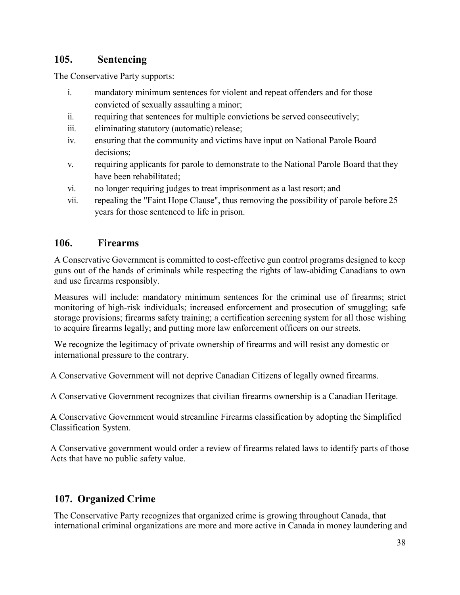#### <span id="page-45-0"></span>**105. Sentencing**

The Conservative Party supports:

- i. mandatory minimum sentences for violent and repeat offenders and for those convicted of sexually assaulting a minor;
- ii. requiring that sentences for multiple convictions be served consecutively;
- iii. eliminating statutory (automatic) release;
- iv. ensuring that the community and victims have input on National Parole Board decisions;
- v. requiring applicants for parole to demonstrate to the National Parole Board that they have been rehabilitated;
- vi. no longer requiring judges to treat imprisonment as a last resort; and
- vii. repealing the "Faint Hope Clause", thus removing the possibility of parole before 25 years for those sentenced to life in prison.

#### <span id="page-45-1"></span>**106. Firearms**

A Conservative Government is committed to cost-effective gun control programs designed to keep guns out of the hands of criminals while respecting the rights of law-abiding Canadians to own and use firearms responsibly.

Measures will include: mandatory minimum sentences for the criminal use of firearms; strict monitoring of high-risk individuals; increased enforcement and prosecution of smuggling; safe storage provisions; firearms safety training; a certification screening system for all those wishing to acquire firearms legally; and putting more law enforcement officers on our streets.

We recognize the legitimacy of private ownership of firearms and will resist any domestic or international pressure to the contrary.

A Conservative Government will not deprive Canadian Citizens of legally owned firearms.

A Conservative Government recognizes that civilian firearms ownership is a Canadian Heritage.

A Conservative Government would streamline Firearms classification by adopting the Simplified Classification System.

A Conservative government would order a review of firearms related laws to identify parts of those Acts that have no public safety value.

#### <span id="page-45-2"></span>**107. Organized Crime**

The Conservative Party recognizes that organized crime is growing throughout Canada, that international criminal organizations are more and more active in Canada in money laundering and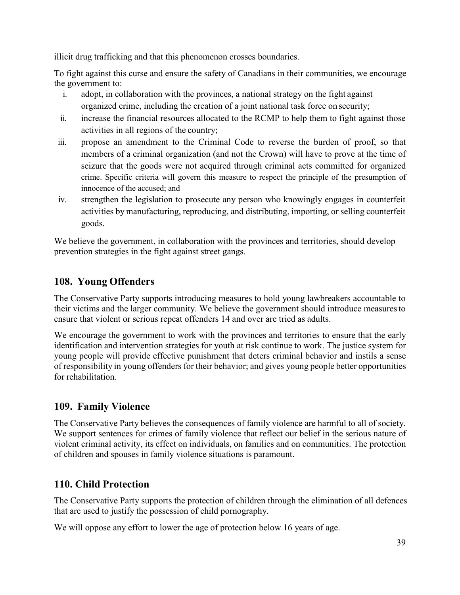illicit drug trafficking and that this phenomenon crosses boundaries.

To fight against this curse and ensure the safety of Canadians in their communities, we encourage the government to:

- i. adopt, in collaboration with the provinces, a national strategy on the fight against organized crime, including the creation of a joint national task force on security;
- ii. increase the financial resources allocated to the RCMP to help them to fight against those activities in all regions of the country;
- iii. propose an amendment to the Criminal Code to reverse the burden of proof, so that members of a criminal organization (and not the Crown) will have to prove at the time of seizure that the goods were not acquired through criminal acts committed for organized crime. Specific criteria will govern this measure to respect the principle of the presumption of innocence of the accused; and
- iv. strengthen the legislation to prosecute any person who knowingly engages in counterfeit activities by manufacturing, reproducing, and distributing, importing, or selling counterfeit goods.

We believe the government, in collaboration with the provinces and territories, should develop prevention strategies in the fight against street gangs.

#### <span id="page-46-0"></span>**108. Young Offenders**

The Conservative Party supports introducing measures to hold young lawbreakers accountable to their victims and the larger community. We believe the government should introduce measuresto ensure that violent or serious repeat offenders 14 and over are tried as adults.

We encourage the government to work with the provinces and territories to ensure that the early identification and intervention strategies for youth at risk continue to work. The justice system for young people will provide effective punishment that deters criminal behavior and instils a sense of responsibility in young offenders for their behavior; and gives young people better opportunities for rehabilitation.

#### <span id="page-46-1"></span>**109. Family Violence**

The Conservative Party believes the consequences of family violence are harmful to all of society. We support sentences for crimes of family violence that reflect our belief in the serious nature of violent criminal activity, its effect on individuals, on families and on communities. The protection of children and spouses in family violence situations is paramount.

#### <span id="page-46-2"></span>**110. Child Protection**

The Conservative Party supports the protection of children through the elimination of all defences that are used to justify the possession of child pornography.

We will oppose any effort to lower the age of protection below 16 years of age.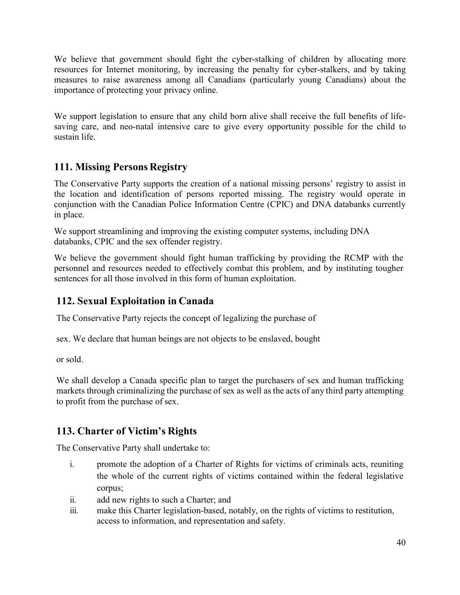We believe that government should fight the cyber-stalking of children by allocating more resources for Internet monitoring, by increasing the penalty for cyber-stalkers, and by taking measures to raise awareness among all Canadians (particularly young Canadians) about the importance of protecting your privacy online.

We support legislation to ensure that any child born alive shall receive the full benefits of lifesaving care, and neo-natal intensive care to give every opportunity possible for the child to sustain life.

#### <span id="page-47-0"></span>**111. Missing Persons Registry**

The Conservative Party supports the creation of a national missing persons' registry to assist in the location and identification of persons reported missing. The registry would operate in conjunction with the Canadian Police Information Centre (CPIC) and DNA databanks currently in place.

We support streamlining and improving the existing computer systems, including DNA databanks, CPIC and the sex offender registry.

We believe the government should fight human trafficking by providing the RCMP with the personnel and resources needed to effectively combat this problem, and by instituting tougher sentences for all those involved in this form of human exploitation.

#### <span id="page-47-1"></span>**112. Sexual Exploitation in Canada**

The Conservative Party rejects the concept of legalizing the purchase of

sex. We declare that human beings are not objects to be enslaved, bought

or sold.

We shall develop a Canada specific plan to target the purchasers of sex and human trafficking markets through criminalizing the purchase of sex as well as the acts of any third party attempting to profit from the purchase of sex.

#### <span id="page-47-2"></span>**113. Charter of Victim's Rights**

The Conservative Party shall undertake to:

- i. promote the adoption of a Charter of Rights for victims of criminals acts, reuniting the whole of the current rights of victims contained within the federal legislative corpus;
- ii. add new rights to such a Charter; and
- iii. make this Charter legislation-based, notably, on the rights of victims to restitution, access to information, and representation and safety.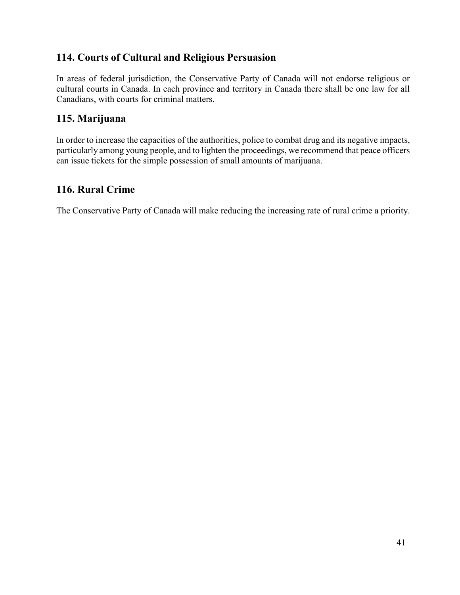#### <span id="page-48-0"></span>**114. Courts of Cultural and Religious Persuasion**

In areas of federal jurisdiction, the Conservative Party of Canada will not endorse religious or cultural courts in Canada. In each province and territory in Canada there shall be one law for all Canadians, with courts for criminal matters.

#### <span id="page-48-1"></span>**115. Marijuana**

In order to increase the capacities of the authorities, police to combat drug and its negative impacts, particularly among young people, and to lighten the proceedings, we recommend that peace officers can issue tickets for the simple possession of small amounts of marijuana.

#### **116. Rural Crime**

The Conservative Party of Canada will make reducing the increasing rate of rural crime a priority.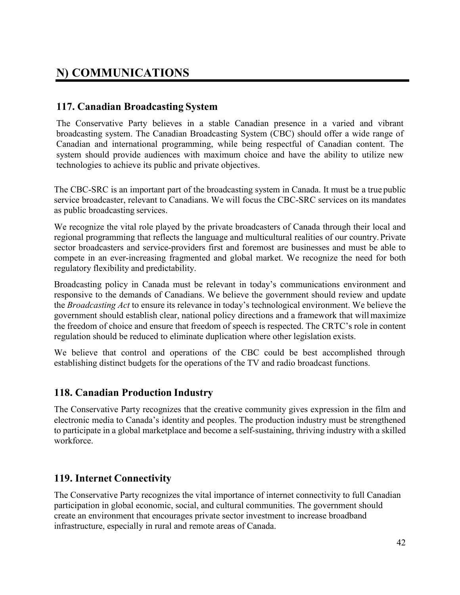## <span id="page-49-0"></span>**N) COMMUNICATIONS**

#### <span id="page-49-1"></span>**117. Canadian Broadcasting System**

The Conservative Party believes in a stable Canadian presence in a varied and vibrant broadcasting system. The Canadian Broadcasting System (CBC) should offer a wide range of Canadian and international programming, while being respectful of Canadian content. The system should provide audiences with maximum choice and have the ability to utilize new technologies to achieve its public and private objectives.

The CBC-SRC is an important part of the broadcasting system in Canada. It must be a true public service broadcaster, relevant to Canadians. We will focus the CBC-SRC services on its mandates as public broadcasting services.

We recognize the vital role played by the private broadcasters of Canada through their local and regional programming that reflects the language and multicultural realities of our country. Private sector broadcasters and service-providers first and foremost are businesses and must be able to compete in an ever-increasing fragmented and global market. We recognize the need for both regulatory flexibility and predictability.

Broadcasting policy in Canada must be relevant in today's communications environment and responsive to the demands of Canadians. We believe the government should review and update the *Broadcasting Act* to ensure its relevance in today's technological environment. We believe the government should establish clear, national policy directions and a framework that willmaximize the freedom of choice and ensure that freedom of speech is respected. The CRTC's role in content regulation should be reduced to eliminate duplication where other legislation exists.

We believe that control and operations of the CBC could be best accomplished through establishing distinct budgets for the operations of the TV and radio broadcast functions.

#### <span id="page-49-2"></span>**118. Canadian Production Industry**

The Conservative Party recognizes that the creative community gives expression in the film and electronic media to Canada's identity and peoples. The production industry must be strengthened to participate in a global marketplace and become a self-sustaining, thriving industry with a skilled workforce.

#### <span id="page-49-3"></span>**119. Internet Connectivity**

The Conservative Party recognizes the vital importance of internet connectivity to full Canadian participation in global economic, social, and cultural communities. The government should create an environment that encourages private sector investment to increase broadband infrastructure, especially in rural and remote areas of Canada.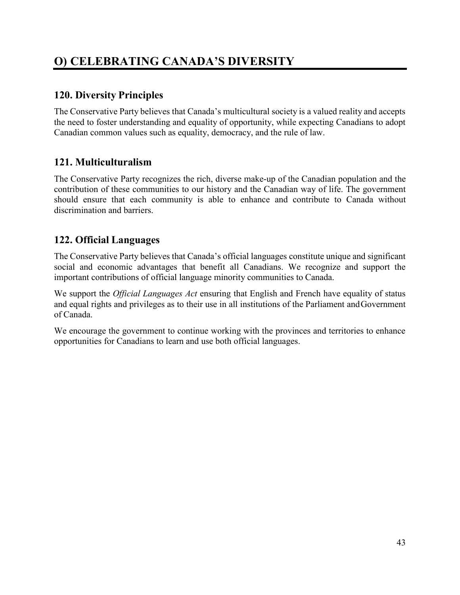## <span id="page-50-0"></span>**O) CELEBRATING CANADA'S DIVERSITY**

#### <span id="page-50-1"></span>**120. Diversity Principles**

The Conservative Party believes that Canada's multicultural society is a valued reality and accepts the need to foster understanding and equality of opportunity, while expecting Canadians to adopt Canadian common values such as equality, democracy, and the rule of law.

#### <span id="page-50-2"></span>**121. Multiculturalism**

The Conservative Party recognizes the rich, diverse make-up of the Canadian population and the contribution of these communities to our history and the Canadian way of life. The government should ensure that each community is able to enhance and contribute to Canada without discrimination and barriers.

#### <span id="page-50-3"></span>**122. Official Languages**

The Conservative Party believes that Canada's official languages constitute unique and significant social and economic advantages that benefit all Canadians. We recognize and support the important contributions of official language minority communities to Canada.

We support the *Official Languages Act* ensuring that English and French have equality of status and equal rights and privileges as to their use in all institutions of the Parliament andGovernment of Canada.

We encourage the government to continue working with the provinces and territories to enhance opportunities for Canadians to learn and use both official languages.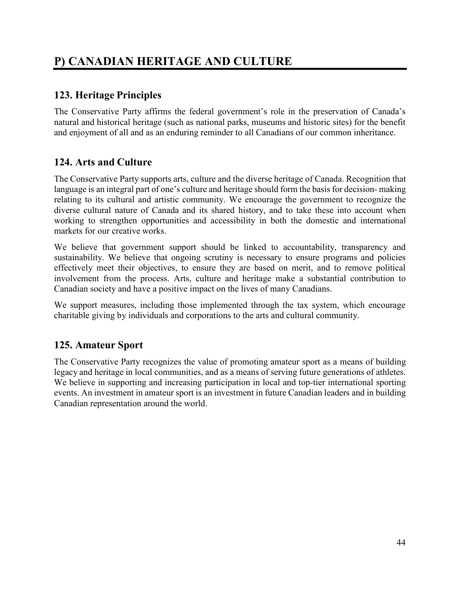## <span id="page-51-0"></span>**P) CANADIAN HERITAGE AND CULTURE**

#### <span id="page-51-1"></span>**123. Heritage Principles**

The Conservative Party affirms the federal government's role in the preservation of Canada's natural and historical heritage (such as national parks, museums and historic sites) for the benefit and enjoyment of all and as an enduring reminder to all Canadians of our common inheritance.

#### <span id="page-51-2"></span>**124. Arts and Culture**

The Conservative Party supports arts, culture and the diverse heritage of Canada. Recognition that language is an integral part of one's culture and heritage should form the basis for decision-making relating to its cultural and artistic community. We encourage the government to recognize the diverse cultural nature of Canada and its shared history, and to take these into account when working to strengthen opportunities and accessibility in both the domestic and international markets for our creative works.

We believe that government support should be linked to accountability, transparency and sustainability. We believe that ongoing scrutiny is necessary to ensure programs and policies effectively meet their objectives, to ensure they are based on merit, and to remove political involvement from the process. Arts, culture and heritage make a substantial contribution to Canadian society and have a positive impact on the lives of many Canadians.

We support measures, including those implemented through the tax system, which encourage charitable giving by individuals and corporations to the arts and cultural community.

#### <span id="page-51-3"></span>**125. Amateur Sport**

The Conservative Party recognizes the value of promoting amateur sport as a means of building legacy and heritage in local communities, and as a means of serving future generations of athletes. We believe in supporting and increasing participation in local and top-tier international sporting events. An investment in amateur sport is an investment in future Canadian leaders and in building Canadian representation around the world.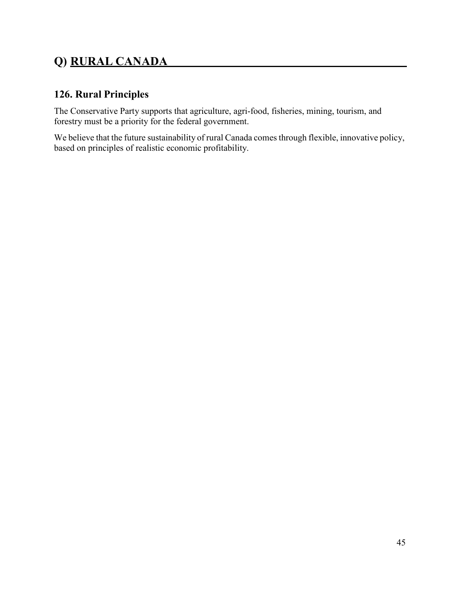## <span id="page-52-0"></span>**Q) RURAL CANADA**

#### <span id="page-52-1"></span>**126. Rural Principles**

The Conservative Party supports that agriculture, agri-food, fisheries, mining, tourism, and forestry must be a priority for the federal government.

We believe that the future sustainability of rural Canada comes through flexible, innovative policy, based on principles of realistic economic profitability.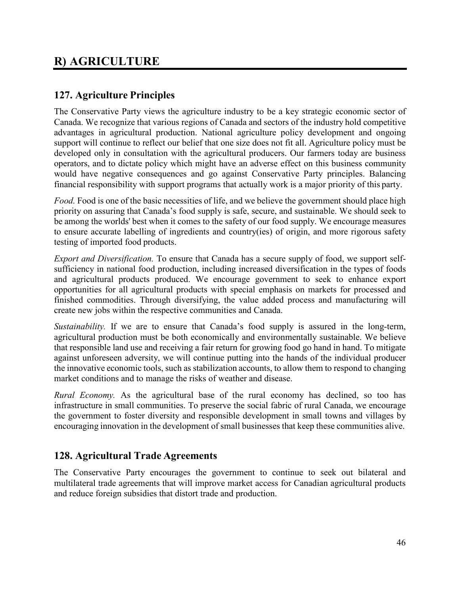## <span id="page-53-0"></span>**R) AGRICULTURE**

#### <span id="page-53-1"></span>**127. Agriculture Principles**

The Conservative Party views the agriculture industry to be a key strategic economic sector of Canada. We recognize that various regions of Canada and sectors of the industry hold competitive advantages in agricultural production. National agriculture policy development and ongoing support will continue to reflect our belief that one size does not fit all. Agriculture policy must be developed only in consultation with the agricultural producers. Our farmers today are business operators, and to dictate policy which might have an adverse effect on this business community would have negative consequences and go against Conservative Party principles. Balancing financial responsibility with support programs that actually work is a major priority of this party.

*Food.* Food is one of the basic necessities of life, and we believe the government should place high priority on assuring that Canada's food supply is safe, secure, and sustainable. We should seek to be among the worlds' best when it comes to the safety of our food supply. We encourage measures to ensure accurate labelling of ingredients and country(ies) of origin, and more rigorous safety testing of imported food products.

*Export and Diversification.* To ensure that Canada has a secure supply of food, we support selfsufficiency in national food production, including increased diversification in the types of foods and agricultural products produced. We encourage government to seek to enhance export opportunities for all agricultural products with special emphasis on markets for processed and finished commodities. Through diversifying, the value added process and manufacturing will create new jobs within the respective communities and Canada.

*Sustainability.* If we are to ensure that Canada's food supply is assured in the long-term, agricultural production must be both economically and environmentally sustainable. We believe that responsible land use and receiving a fair return for growing food go hand in hand. To mitigate against unforeseen adversity, we will continue putting into the hands of the individual producer the innovative economic tools, such as stabilization accounts, to allow them to respond to changing market conditions and to manage the risks of weather and disease.

*Rural Economy.* As the agricultural base of the rural economy has declined, so too has infrastructure in small communities. To preserve the social fabric of rural Canada, we encourage the government to foster diversity and responsible development in small towns and villages by encouraging innovation in the development of small businesses that keep these communities alive.

#### <span id="page-53-2"></span>**128. Agricultural Trade Agreements**

The Conservative Party encourages the government to continue to seek out bilateral and multilateral trade agreements that will improve market access for Canadian agricultural products and reduce foreign subsidies that distort trade and production.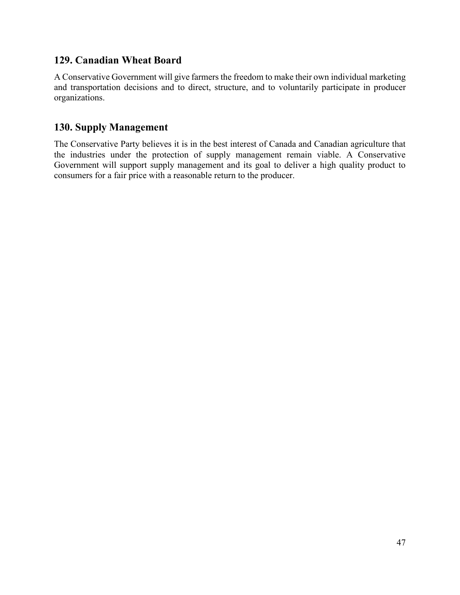#### <span id="page-54-0"></span>**129. Canadian Wheat Board**

A Conservative Government will give farmers the freedom to make their own individual marketing and transportation decisions and to direct, structure, and to voluntarily participate in producer organizations.

### <span id="page-54-1"></span>**130. Supply Management**

The Conservative Party believes it is in the best interest of Canada and Canadian agriculture that the industries under the protection of supply management remain viable. A Conservative Government will support supply management and its goal to deliver a high quality product to consumers for a fair price with a reasonable return to the producer.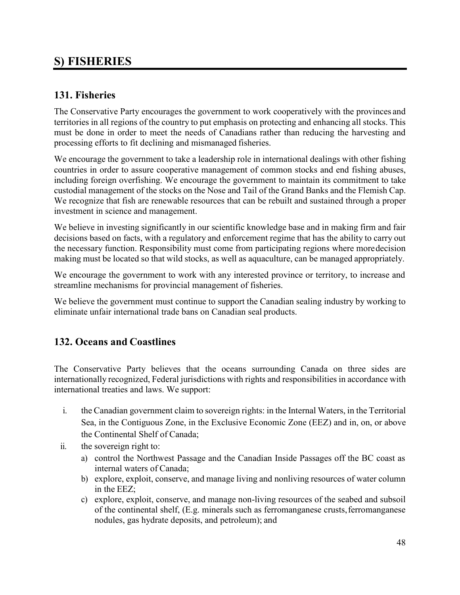## <span id="page-55-0"></span>**S) FISHERIES**

#### <span id="page-55-1"></span>**131. Fisheries**

The Conservative Party encourages the government to work cooperatively with the provinces and territories in all regions of the country to put emphasis on protecting and enhancing all stocks. This must be done in order to meet the needs of Canadians rather than reducing the harvesting and processing efforts to fit declining and mismanaged fisheries.

We encourage the government to take a leadership role in international dealings with other fishing countries in order to assure cooperative management of common stocks and end fishing abuses, including foreign overfishing. We encourage the government to maintain its commitment to take custodial management of the stocks on the Nose and Tail of the Grand Banks and the Flemish Cap. We recognize that fish are renewable resources that can be rebuilt and sustained through a proper investment in science and management.

We believe in investing significantly in our scientific knowledge base and in making firm and fair decisions based on facts, with a regulatory and enforcement regime that has the ability to carry out the necessary function. Responsibility must come from participating regions where moredecision making must be located so that wild stocks, as well as aquaculture, can be managed appropriately.

We encourage the government to work with any interested province or territory, to increase and streamline mechanisms for provincial management of fisheries.

We believe the government must continue to support the Canadian sealing industry by working to eliminate unfair international trade bans on Canadian seal products.

#### <span id="page-55-2"></span>**132. Oceans and Coastlines**

The Conservative Party believes that the oceans surrounding Canada on three sides are internationally recognized, Federal jurisdictions with rights and responsibilities in accordance with international treaties and laws. We support:

- i. the Canadian government claim to sovereign rights: in the Internal Waters, in the Territorial Sea, in the Contiguous Zone, in the Exclusive Economic Zone (EEZ) and in, on, or above the Continental Shelf of Canada;
- ii. the sovereign right to:
	- a) control the Northwest Passage and the Canadian Inside Passages off the BC coast as internal waters of Canada;
	- b) explore, exploit, conserve, and manage living and nonliving resources of water column in the EEZ;
	- c) explore, exploit, conserve, and manage non-living resources of the seabed and subsoil of the continental shelf, (E.g. minerals such as ferromanganese crusts,ferromanganese nodules, gas hydrate deposits, and petroleum); and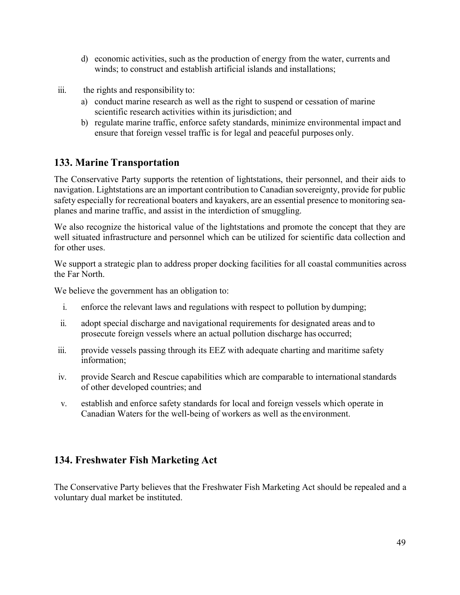- d) economic activities, such as the production of energy from the water, currents and winds; to construct and establish artificial islands and installations;
- iii. the rights and responsibility to:
	- a) conduct marine research as well as the right to suspend or cessation of marine scientific research activities within its jurisdiction; and
	- b) regulate marine traffic, enforce safety standards, minimize environmental impact and ensure that foreign vessel traffic is for legal and peaceful purposes only.

#### <span id="page-56-0"></span>**133. Marine Transportation**

The Conservative Party supports the retention of lightstations, their personnel, and their aids to navigation. Lightstations are an important contribution to Canadian sovereignty, provide for public safety especially for recreational boaters and kayakers, are an essential presence to monitoring seaplanes and marine traffic, and assist in the interdiction of smuggling.

We also recognize the historical value of the lightstations and promote the concept that they are well situated infrastructure and personnel which can be utilized for scientific data collection and for other uses.

We support a strategic plan to address proper docking facilities for all coastal communities across the Far North.

We believe the government has an obligation to:

- i. enforce the relevant laws and regulations with respect to pollution by dumping;
- ii. adopt special discharge and navigational requirements for designated areas and to prosecute foreign vessels where an actual pollution discharge has occurred;
- iii. provide vessels passing through its EEZ with adequate charting and maritime safety information;
- iv. provide Search and Rescue capabilities which are comparable to internationalstandards of other developed countries; and
- v. establish and enforce safety standards for local and foreign vessels which operate in Canadian Waters for the well-being of workers as well as the environment.

#### <span id="page-56-1"></span>**134. Freshwater Fish Marketing Act**

The Conservative Party believes that the Freshwater Fish Marketing Act should be repealed and a voluntary dual market be instituted.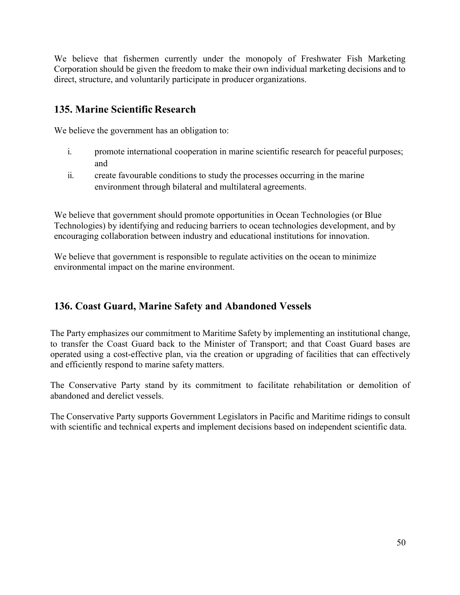We believe that fishermen currently under the monopoly of Freshwater Fish Marketing Corporation should be given the freedom to make their own individual marketing decisions and to direct, structure, and voluntarily participate in producer organizations.

#### <span id="page-57-0"></span>**135. Marine Scientific Research**

We believe the government has an obligation to:

- i. promote international cooperation in marine scientific research for peaceful purposes; and
- ii. create favourable conditions to study the processes occurring in the marine environment through bilateral and multilateral agreements.

We believe that government should promote opportunities in Ocean Technologies (or Blue Technologies) by identifying and reducing barriers to ocean technologies development, and by encouraging collaboration between industry and educational institutions for innovation.

We believe that government is responsible to regulate activities on the ocean to minimize environmental impact on the marine environment.

#### **136. Coast Guard, Marine Safety and Abandoned Vessels**

The Party emphasizes our commitment to Maritime Safety by implementing an institutional change, to transfer the Coast Guard back to the Minister of Transport; and that Coast Guard bases are operated using a cost-effective plan, via the creation or upgrading of facilities that can effectively and efficiently respond to marine safety matters.

The Conservative Party stand by its commitment to facilitate rehabilitation or demolition of abandoned and derelict vessels.

The Conservative Party supports Government Legislators in Pacific and Maritime ridings to consult with scientific and technical experts and implement decisions based on independent scientific data.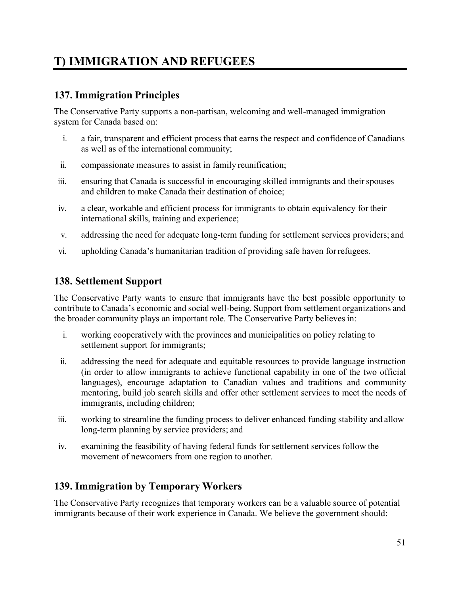## <span id="page-58-0"></span>**T) IMMIGRATION AND REFUGEES**

#### <span id="page-58-1"></span>**137. Immigration Principles**

The Conservative Party supports a non-partisan, welcoming and well-managed immigration system for Canada based on:

- i. a fair, transparent and efficient process that earns the respect and confidence of Canadians as well as of the international community;
- ii. compassionate measures to assist in family reunification;
- iii. ensuring that Canada is successful in encouraging skilled immigrants and their spouses and children to make Canada their destination of choice;
- iv. a clear, workable and efficient process for immigrants to obtain equivalency for their international skills, training and experience;
- v. addressing the need for adequate long-term funding for settlement services providers; and
- vi. upholding Canada's humanitarian tradition of providing safe haven forrefugees.

#### <span id="page-58-2"></span>**138. Settlement Support**

The Conservative Party wants to ensure that immigrants have the best possible opportunity to contribute to Canada's economic and social well-being. Support from settlement organizations and the broader community plays an important role. The Conservative Party believes in:

- i. working cooperatively with the provinces and municipalities on policy relating to settlement support for immigrants;
- ii. addressing the need for adequate and equitable resources to provide language instruction (in order to allow immigrants to achieve functional capability in one of the two official languages), encourage adaptation to Canadian values and traditions and community mentoring, build job search skills and offer other settlement services to meet the needs of immigrants, including children;
- iii. working to streamline the funding process to deliver enhanced funding stability and allow long-term planning by service providers; and
- iv. examining the feasibility of having federal funds for settlement services follow the movement of newcomers from one region to another.

#### <span id="page-58-3"></span>**139. Immigration by Temporary Workers**

The Conservative Party recognizes that temporary workers can be a valuable source of potential immigrants because of their work experience in Canada. We believe the government should: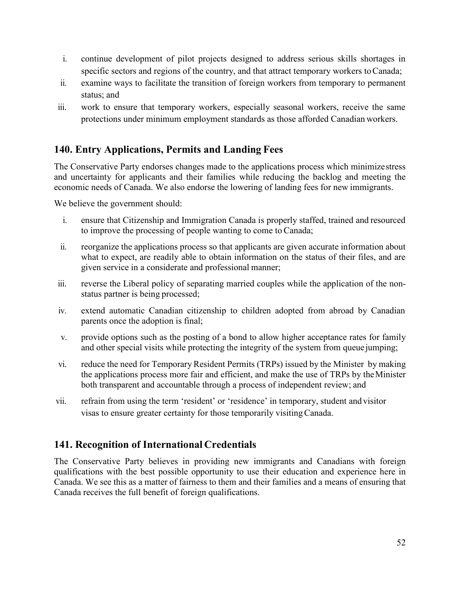- i. continue development of pilot projects designed to address serious skills shortages in specific sectors and regions of the country, and that attract temporary workers to Canada;
- ii. examine ways to facilitate the transition of foreign workers from temporary to permanent status; and
- iii. work to ensure that temporary workers, especially seasonal workers, receive the same protections under minimum employment standards as those afforded Canadian workers.

#### <span id="page-59-0"></span>**140. Entry Applications, Permits and Landing Fees**

The Conservative Party endorses changes made to the applications process which minimizestress and uncertainty for applicants and their families while reducing the backlog and meeting the economic needs of Canada. We also endorse the lowering of landing fees for new immigrants.

We believe the government should:

- i. ensure that Citizenship and Immigration Canada is properly staffed, trained and resourced to improve the processing of people wanting to come to Canada;
- ii. reorganize the applications process so that applicants are given accurate information about what to expect, are readily able to obtain information on the status of their files, and are given service in a considerate and professional manner;
- iii. reverse the Liberal policy of separating married couples while the application of the nonstatus partner is being processed;
- iv. extend automatic Canadian citizenship to children adopted from abroad by Canadian parents once the adoption is final;
- v. provide options such as the posting of a bond to allow higher acceptance rates for family and other special visits while protecting the integrity of the system from queue jumping;
- vi. reduce the need for Temporary Resident Permits (TRPs) issued by the Minister by making the applications process more fair and efficient, and make the use of TRPs by theMinister both transparent and accountable through a process of independent review; and
- vii. refrain from using the term 'resident' or 'residence' in temporary, student and visitor visas to ensure greater certainty for those temporarily visitingCanada.

#### <span id="page-59-1"></span>**141. Recognition of International Credentials**

The Conservative Party believes in providing new immigrants and Canadians with foreign qualifications with the best possible opportunity to use their education and experience here in Canada. We see this as a matter of fairness to them and their families and a means of ensuring that Canada receives the full benefit of foreign qualifications.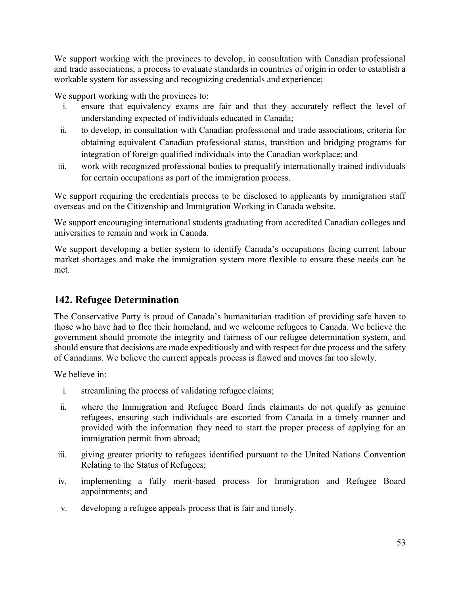We support working with the provinces to develop, in consultation with Canadian professional and trade associations, a process to evaluate standards in countries of origin in order to establish a workable system for assessing and recognizing credentials and experience;

We support working with the provinces to:

- i. ensure that equivalency exams are fair and that they accurately reflect the level of understanding expected of individuals educated in Canada;
- ii. to develop, in consultation with Canadian professional and trade associations, criteria for obtaining equivalent Canadian professional status, transition and bridging programs for integration of foreign qualified individuals into the Canadian workplace; and
- iii. work with recognized professional bodies to prequalify internationally trained individuals for certain occupations as part of the immigration process.

We support requiring the credentials process to be disclosed to applicants by immigration staff overseas and on the Citizenship and Immigration Working in Canada website.

We support encouraging international students graduating from accredited Canadian colleges and universities to remain and work in Canada.

We support developing a better system to identify Canada's occupations facing current labour market shortages and make the immigration system more flexible to ensure these needs can be met.

#### <span id="page-60-0"></span>**142. Refugee Determination**

The Conservative Party is proud of Canada's humanitarian tradition of providing safe haven to those who have had to flee their homeland, and we welcome refugees to Canada. We believe the government should promote the integrity and fairness of our refugee determination system, and should ensure that decisions are made expeditiously and with respect for due process and the safety of Canadians. We believe the current appeals process is flawed and moves far too slowly.

We believe in:

- i. streamlining the process of validating refugee claims;
- ii. where the Immigration and Refugee Board finds claimants do not qualify as genuine refugees, ensuring such individuals are escorted from Canada in a timely manner and provided with the information they need to start the proper process of applying for an immigration permit from abroad;
- iii. giving greater priority to refugees identified pursuant to the United Nations Convention Relating to the Status of Refugees;
- iv. implementing a fully merit-based process for Immigration and Refugee Board appointments; and
- v. developing a refugee appeals process that is fair and timely.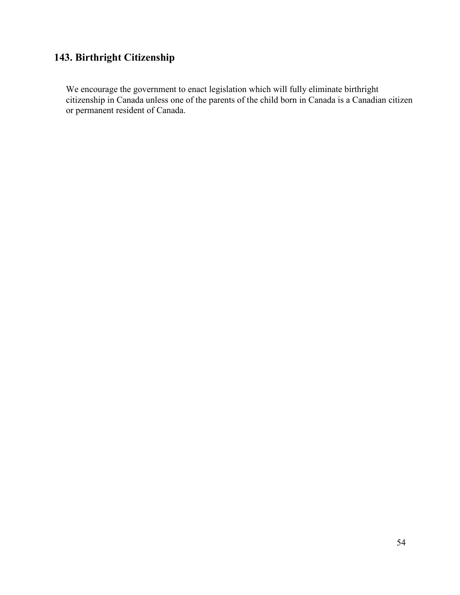### **143. Birthright Citizenship**

We encourage the government to enact legislation which will fully eliminate birthright citizenship in Canada unless one of the parents of the child born in Canada is a Canadian citizen or permanent resident of Canada.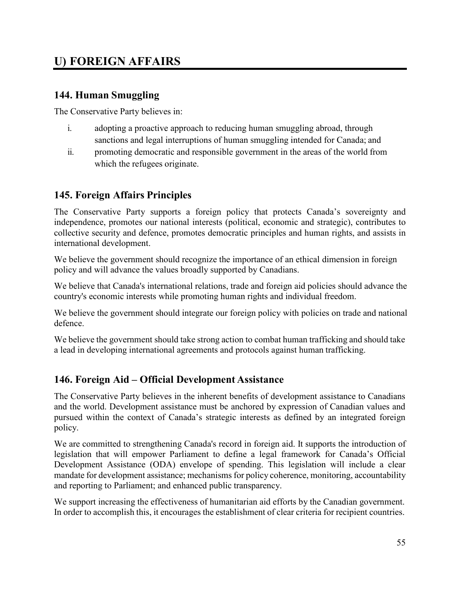## <span id="page-62-0"></span>**U) FOREIGN AFFAIRS**

#### <span id="page-62-1"></span>**144. Human Smuggling**

The Conservative Party believes in:

- i. adopting a proactive approach to reducing human smuggling abroad, through sanctions and legal interruptions of human smuggling intended for Canada; and
- ii. promoting democratic and responsible government in the areas of the world from which the refugees originate.

#### <span id="page-62-2"></span>**145. Foreign Affairs Principles**

The Conservative Party supports a foreign policy that protects Canada's sovereignty and independence, promotes our national interests (political, economic and strategic), contributes to collective security and defence, promotes democratic principles and human rights, and assists in international development.

We believe the government should recognize the importance of an ethical dimension in foreign policy and will advance the values broadly supported by Canadians.

We believe that Canada's international relations, trade and foreign aid policies should advance the country's economic interests while promoting human rights and individual freedom.

We believe the government should integrate our foreign policy with policies on trade and national defence.

We believe the government should take strong action to combat human trafficking and should take a lead in developing international agreements and protocols against human trafficking.

#### <span id="page-62-3"></span>**146. Foreign Aid – Official Development Assistance**

The Conservative Party believes in the inherent benefits of development assistance to Canadians and the world. Development assistance must be anchored by expression of Canadian values and pursued within the context of Canada's strategic interests as defined by an integrated foreign policy.

We are committed to strengthening Canada's record in foreign aid. It supports the introduction of legislation that will empower Parliament to define a legal framework for Canada's Official Development Assistance (ODA) envelope of spending. This legislation will include a clear mandate for development assistance; mechanisms for policy coherence, monitoring, accountability and reporting to Parliament; and enhanced public transparency.

We support increasing the effectiveness of humanitarian aid efforts by the Canadian government. In order to accomplish this, it encourages the establishment of clear criteria for recipient countries.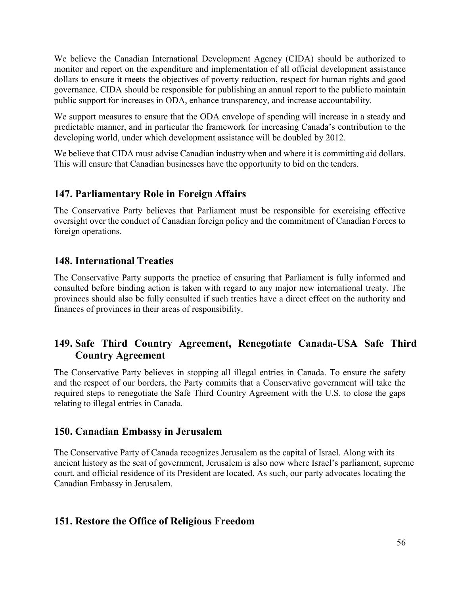We believe the Canadian International Development Agency (CIDA) should be authorized to monitor and report on the expenditure and implementation of all official development assistance dollars to ensure it meets the objectives of poverty reduction, respect for human rights and good governance. CIDA should be responsible for publishing an annual report to the publicto maintain public support for increases in ODA, enhance transparency, and increase accountability.

We support measures to ensure that the ODA envelope of spending will increase in a steady and predictable manner, and in particular the framework for increasing Canada's contribution to the developing world, under which development assistance will be doubled by 2012.

We believe that CIDA must advise Canadian industry when and where it is committing aid dollars. This will ensure that Canadian businesses have the opportunity to bid on the tenders.

#### <span id="page-63-0"></span>**147. Parliamentary Role in Foreign Affairs**

The Conservative Party believes that Parliament must be responsible for exercising effective oversight over the conduct of Canadian foreign policy and the commitment of Canadian Forces to foreign operations.

#### <span id="page-63-1"></span>**148. International Treaties**

The Conservative Party supports the practice of ensuring that Parliament is fully informed and consulted before binding action is taken with regard to any major new international treaty. The provinces should also be fully consulted if such treaties have a direct effect on the authority and finances of provinces in their areas of responsibility.

#### **149. Safe Third Country Agreement, Renegotiate Canada-USA Safe Third Country Agreement**

The Conservative Party believes in stopping all illegal entries in Canada. To ensure the safety and the respect of our borders, the Party commits that a Conservative government will take the required steps to renegotiate the Safe Third Country Agreement with the U.S. to close the gaps relating to illegal entries in Canada.

#### **150. Canadian Embassy in Jerusalem**

The Conservative Party of Canada recognizes Jerusalem as the capital of Israel. Along with its ancient history as the seat of government, Jerusalem is also now where Israel's parliament, supreme court, and official residence of its President are located. As such, our party advocates locating the Canadian Embassy in Jerusalem.

#### **151. Restore the Office of Religious Freedom**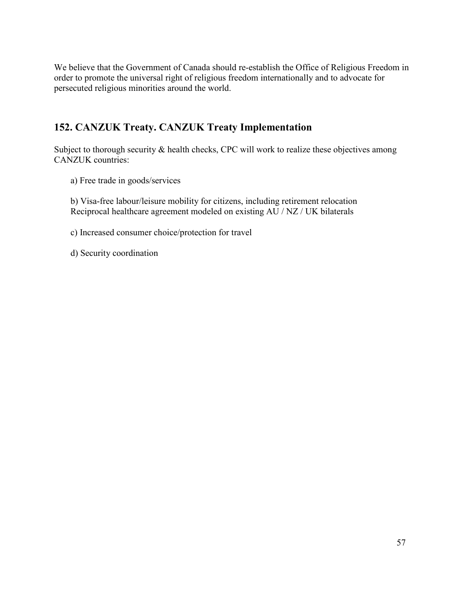We believe that the Government of Canada should re-establish the Office of Religious Freedom in order to promote the universal right of religious freedom internationally and to advocate for persecuted religious minorities around the world.

#### **152. CANZUK Treaty. CANZUK Treaty Implementation**

Subject to thorough security & health checks, CPC will work to realize these objectives among CANZUK countries:

a) Free trade in goods/services

b) Visa-free labour/leisure mobility for citizens, including retirement relocation Reciprocal healthcare agreement modeled on existing AU / NZ / UK bilaterals

c) Increased consumer choice/protection for travel

d) Security coordination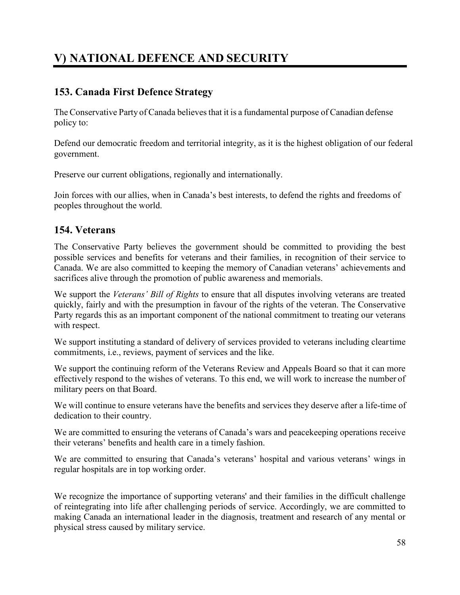## <span id="page-65-0"></span>**V) NATIONAL DEFENCE AND SECURITY**

#### <span id="page-65-1"></span>**153. Canada First Defence Strategy**

The Conservative Party of Canada believes that it is a fundamental purpose of Canadian defense policy to:

Defend our democratic freedom and territorial integrity, as it is the highest obligation of our federal government.

Preserve our current obligations, regionally and internationally.

Join forces with our allies, when in Canada's best interests, to defend the rights and freedoms of peoples throughout the world.

#### <span id="page-65-2"></span>**154. Veterans**

The Conservative Party believes the government should be committed to providing the best possible services and benefits for veterans and their families, in recognition of their service to Canada. We are also committed to keeping the memory of Canadian veterans' achievements and sacrifices alive through the promotion of public awareness and memorials.

We support the *Veterans' Bill of Rights* to ensure that all disputes involving veterans are treated quickly, fairly and with the presumption in favour of the rights of the veteran. The Conservative Party regards this as an important component of the national commitment to treating our veterans with respect.

We support instituting a standard of delivery of services provided to veterans including cleartime commitments, i.e., reviews, payment of services and the like.

We support the continuing reform of the Veterans Review and Appeals Board so that it can more effectively respond to the wishes of veterans. To this end, we will work to increase the number of military peers on that Board.

We will continue to ensure veterans have the benefits and services they deserve after a life-time of dedication to their country.

We are committed to ensuring the veterans of Canada's wars and peacekeeping operations receive their veterans' benefits and health care in a timely fashion.

We are committed to ensuring that Canada's veterans' hospital and various veterans' wings in regular hospitals are in top working order.

We recognize the importance of supporting veterans' and their families in the difficult challenge of reintegrating into life after challenging periods of service. Accordingly, we are committed to making Canada an international leader in the diagnosis, treatment and research of any mental or physical stress caused by military service.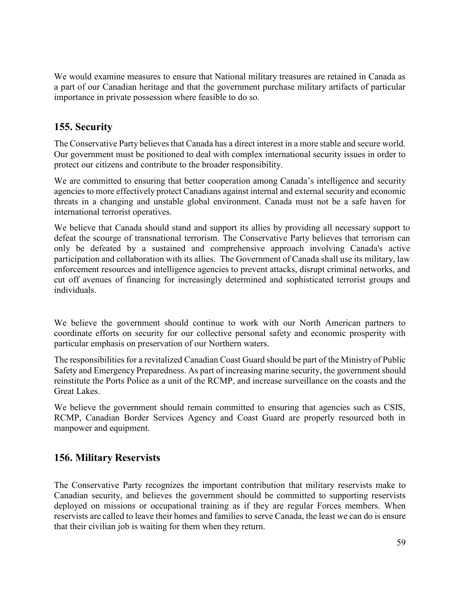We would examine measures to ensure that National military treasures are retained in Canada as a part of our Canadian heritage and that the government purchase military artifacts of particular importance in private possession where feasible to do so.

#### <span id="page-66-0"></span>**155. Security**

The Conservative Party believes that Canada has a direct interest in a more stable and secure world. Our government must be positioned to deal with complex international security issues in order to protect our citizens and contribute to the broader responsibility.

We are committed to ensuring that better cooperation among Canada's intelligence and security agencies to more effectively protect Canadians against internal and external security and economic threats in a changing and unstable global environment. Canada must not be a safe haven for international terrorist operatives.

We believe that Canada should stand and support its allies by providing all necessary support to defeat the scourge of transnational terrorism. The Conservative Party believes that terrorism can only be defeated by a sustained and comprehensive approach involving Canada's active participation and collaboration with its allies. The Government of Canada shall use its military, law enforcement resources and intelligence agencies to prevent attacks, disrupt criminal networks, and cut off avenues of financing for increasingly determined and sophisticated terrorist groups and individuals.

We believe the government should continue to work with our North American partners to coordinate efforts on security for our collective personal safety and economic prosperity with particular emphasis on preservation of our Northern waters.

The responsibilities for a revitalized Canadian Coast Guard should be part of the Ministry of Public Safety and Emergency Preparedness. As part of increasing marine security, the government should reinstitute the Ports Police as a unit of the RCMP, and increase surveillance on the coasts and the Great Lakes.

We believe the government should remain committed to ensuring that agencies such as CSIS, RCMP, Canadian Border Services Agency and Coast Guard are properly resourced both in manpower and equipment.

#### <span id="page-66-1"></span>**156. Military Reservists**

The Conservative Party recognizes the important contribution that military reservists make to Canadian security, and believes the government should be committed to supporting reservists deployed on missions or occupational training as if they are regular Forces members. When reservists are called to leave their homes and families to serve Canada, the least we can do is ensure that their civilian job is waiting for them when they return.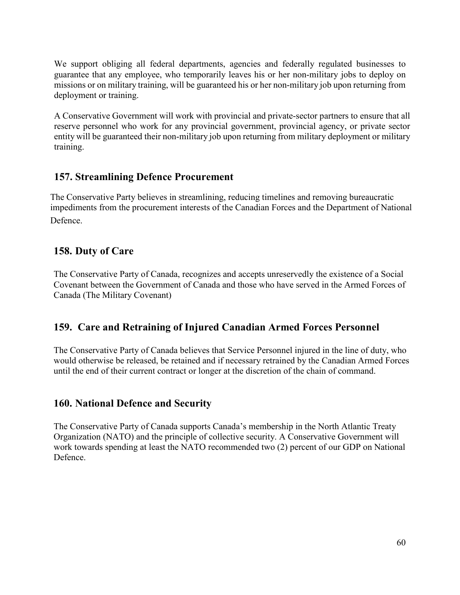We support obliging all federal departments, agencies and federally regulated businesses to guarantee that any employee, who temporarily leaves his or her non-military jobs to deploy on missions or on military training, will be guaranteed his or her non-military job upon returning from deployment or training.

A Conservative Government will work with provincial and private-sector partners to ensure that all reserve personnel who work for any provincial government, provincial agency, or private sector entity will be guaranteed their non-military job upon returning from military deployment or military training.

#### <span id="page-67-0"></span>**157. Streamlining Defence Procurement**

The Conservative Party believes in streamlining, reducing timelines and removing bureaucratic impediments from the procurement interests of the Canadian Forces and the Department of National Defence.

#### **158. Duty of Care**

The Conservative Party of Canada, recognizes and accepts unreservedly the existence of a Social Covenant between the Government of Canada and those who have served in the Armed Forces of Canada (The Military Covenant)

#### **159. Care and Retraining of Injured Canadian Armed Forces Personnel**

The Conservative Party of Canada believes that Service Personnel injured in the line of duty, who would otherwise be released, be retained and if necessary retrained by the Canadian Armed Forces until the end of their current contract or longer at the discretion of the chain of command.

#### **160. National Defence and Security**

The Conservative Party of Canada supports Canada's membership in the North Atlantic Treaty Organization (NATO) and the principle of collective security. A Conservative Government will work towards spending at least the NATO recommended two (2) percent of our GDP on National Defence.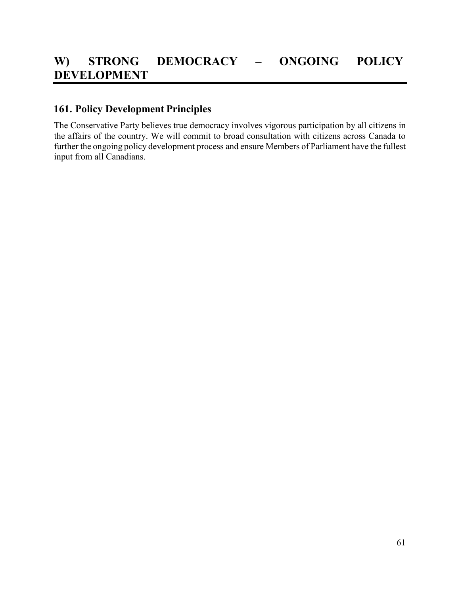#### <span id="page-68-1"></span><span id="page-68-0"></span>**161. Policy Development Principles**

The Conservative Party believes true democracy involves vigorous participation by all citizens in the affairs of the country. We will commit to broad consultation with citizens across Canada to further the ongoing policy development process and ensure Members of Parliament have the fullest input from all Canadians.